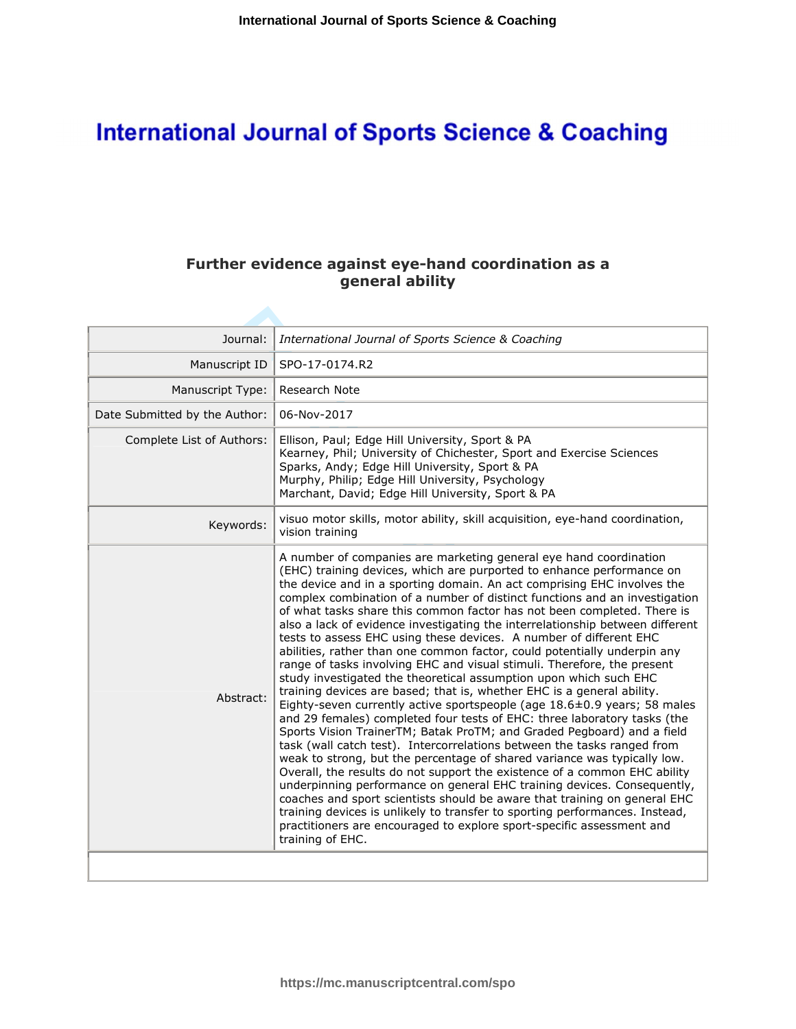# **International Journal of Sports Science & Coaching**

### **Further evidence against eye -hand coordination as a general ability**

| Journal:                      | International Journal of Sports Science & Coaching                                                                                                                                                                                                                                                                                                                                                                                                                                                                                                                                                                                                                                                                                                                                                                                                                                                                                                                                                                                                                                                                                                                                                                                                                                                                                                                                                                                                                                                                                                                                                                                                    |
|-------------------------------|-------------------------------------------------------------------------------------------------------------------------------------------------------------------------------------------------------------------------------------------------------------------------------------------------------------------------------------------------------------------------------------------------------------------------------------------------------------------------------------------------------------------------------------------------------------------------------------------------------------------------------------------------------------------------------------------------------------------------------------------------------------------------------------------------------------------------------------------------------------------------------------------------------------------------------------------------------------------------------------------------------------------------------------------------------------------------------------------------------------------------------------------------------------------------------------------------------------------------------------------------------------------------------------------------------------------------------------------------------------------------------------------------------------------------------------------------------------------------------------------------------------------------------------------------------------------------------------------------------------------------------------------------------|
| Manuscript ID                 | SPO-17-0174.R2                                                                                                                                                                                                                                                                                                                                                                                                                                                                                                                                                                                                                                                                                                                                                                                                                                                                                                                                                                                                                                                                                                                                                                                                                                                                                                                                                                                                                                                                                                                                                                                                                                        |
| Manuscript Type:              | Research Note                                                                                                                                                                                                                                                                                                                                                                                                                                                                                                                                                                                                                                                                                                                                                                                                                                                                                                                                                                                                                                                                                                                                                                                                                                                                                                                                                                                                                                                                                                                                                                                                                                         |
| Date Submitted by the Author: | 06-Nov-2017                                                                                                                                                                                                                                                                                                                                                                                                                                                                                                                                                                                                                                                                                                                                                                                                                                                                                                                                                                                                                                                                                                                                                                                                                                                                                                                                                                                                                                                                                                                                                                                                                                           |
| Complete List of Authors:     | Ellison, Paul; Edge Hill University, Sport & PA<br>Kearney, Phil; University of Chichester, Sport and Exercise Sciences<br>Sparks, Andy; Edge Hill University, Sport & PA<br>Murphy, Philip; Edge Hill University, Psychology<br>Marchant, David; Edge Hill University, Sport & PA                                                                                                                                                                                                                                                                                                                                                                                                                                                                                                                                                                                                                                                                                                                                                                                                                                                                                                                                                                                                                                                                                                                                                                                                                                                                                                                                                                    |
| Keywords:                     | visuo motor skills, motor ability, skill acquisition, eye-hand coordination,<br>vision training                                                                                                                                                                                                                                                                                                                                                                                                                                                                                                                                                                                                                                                                                                                                                                                                                                                                                                                                                                                                                                                                                                                                                                                                                                                                                                                                                                                                                                                                                                                                                       |
| Abstract:                     | A number of companies are marketing general eye hand coordination<br>(EHC) training devices, which are purported to enhance performance on<br>the device and in a sporting domain. An act comprising EHC involves the<br>complex combination of a number of distinct functions and an investigation<br>of what tasks share this common factor has not been completed. There is<br>also a lack of evidence investigating the interrelationship between different<br>tests to assess EHC using these devices. A number of different EHC<br>abilities, rather than one common factor, could potentially underpin any<br>range of tasks involving EHC and visual stimuli. Therefore, the present<br>study investigated the theoretical assumption upon which such EHC<br>training devices are based; that is, whether EHC is a general ability.<br>Eighty-seven currently active sportspeople (age 18.6±0.9 years; 58 males<br>and 29 females) completed four tests of EHC: three laboratory tasks (the<br>Sports Vision TrainerTM; Batak ProTM; and Graded Pegboard) and a field<br>task (wall catch test). Intercorrelations between the tasks ranged from<br>weak to strong, but the percentage of shared variance was typically low.<br>Overall, the results do not support the existence of a common EHC ability<br>underpinning performance on general EHC training devices. Consequently,<br>coaches and sport scientists should be aware that training on general EHC<br>training devices is unlikely to transfer to sporting performances. Instead,<br>practitioners are encouraged to explore sport-specific assessment and<br>training of EHC. |
|                               |                                                                                                                                                                                                                                                                                                                                                                                                                                                                                                                                                                                                                                                                                                                                                                                                                                                                                                                                                                                                                                                                                                                                                                                                                                                                                                                                                                                                                                                                                                                                                                                                                                                       |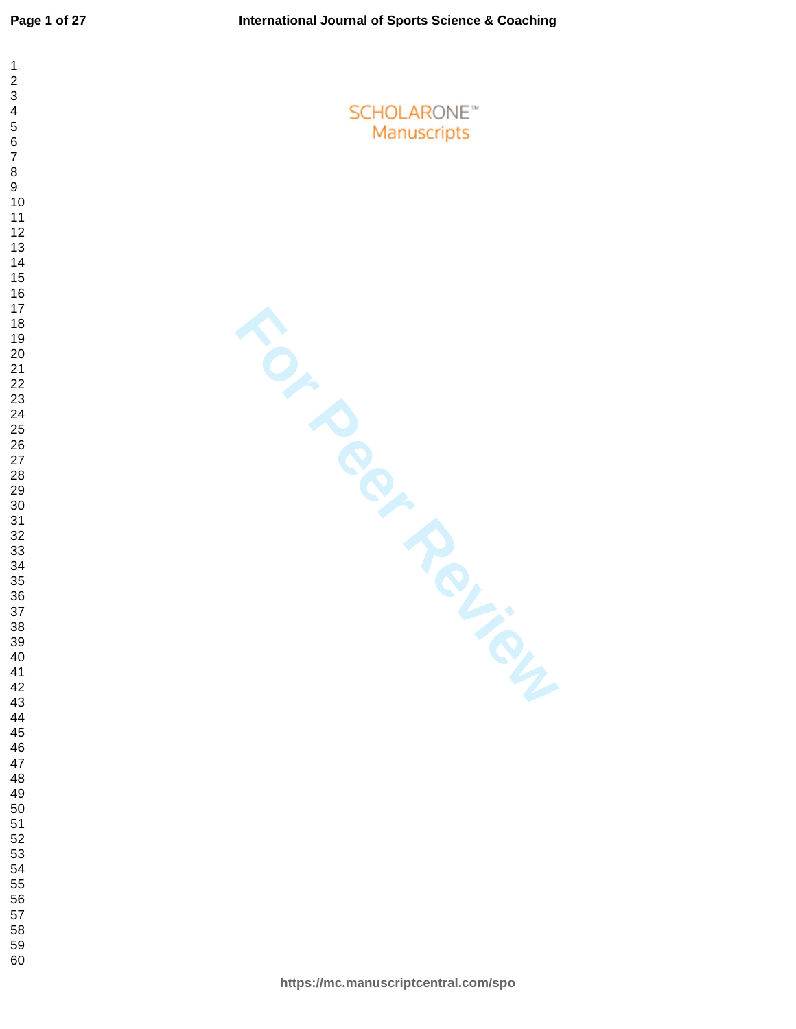$\overline{\mathbf{4}}$ 

 $\mathbf{1}$  $\overline{2}$ 

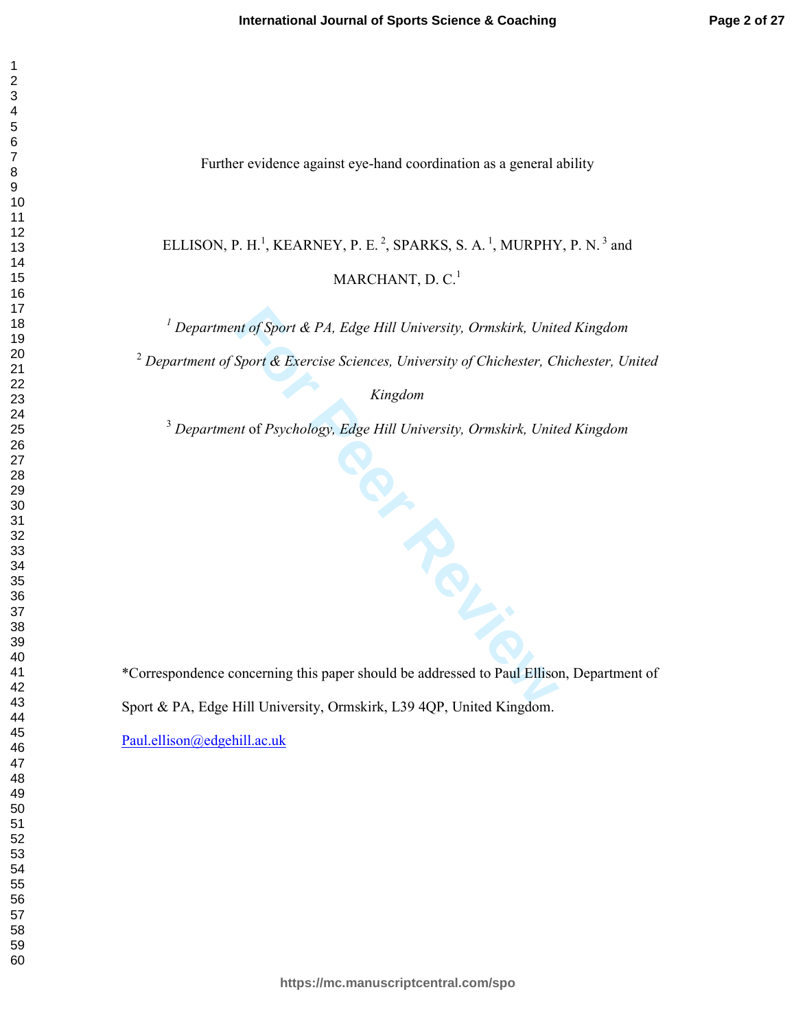Further evidence against eye-hand coordination as a general ability

# ELLISON, P. H.<sup>1</sup>, KEARNEY, P. E.<sup>2</sup>, SPARKS, S. A.<sup>1</sup>, MURPHY, P. N.<sup>3</sup> and MARCHANT, D. C. $<sup>1</sup>$ </sup>

<sup>1</sup> Department of Sport & PA, Edge Hill University, Ormskirk, United Kingdom

*Department of Sport & Exercise Sciences, University of Chichester, Chichester, United* 

*Kingdom* 

*Department* of *Psychology, Edge Hill University, Ormskirk, United Kingdom* 

\*Correspondence concerning this paper should be addressed to Paul Ellison, Department of Sport & PA, Edge Hill University, Ormskirk, L39 4QP, United Kingdom.

Paul.ellison@edgehill.ac.uk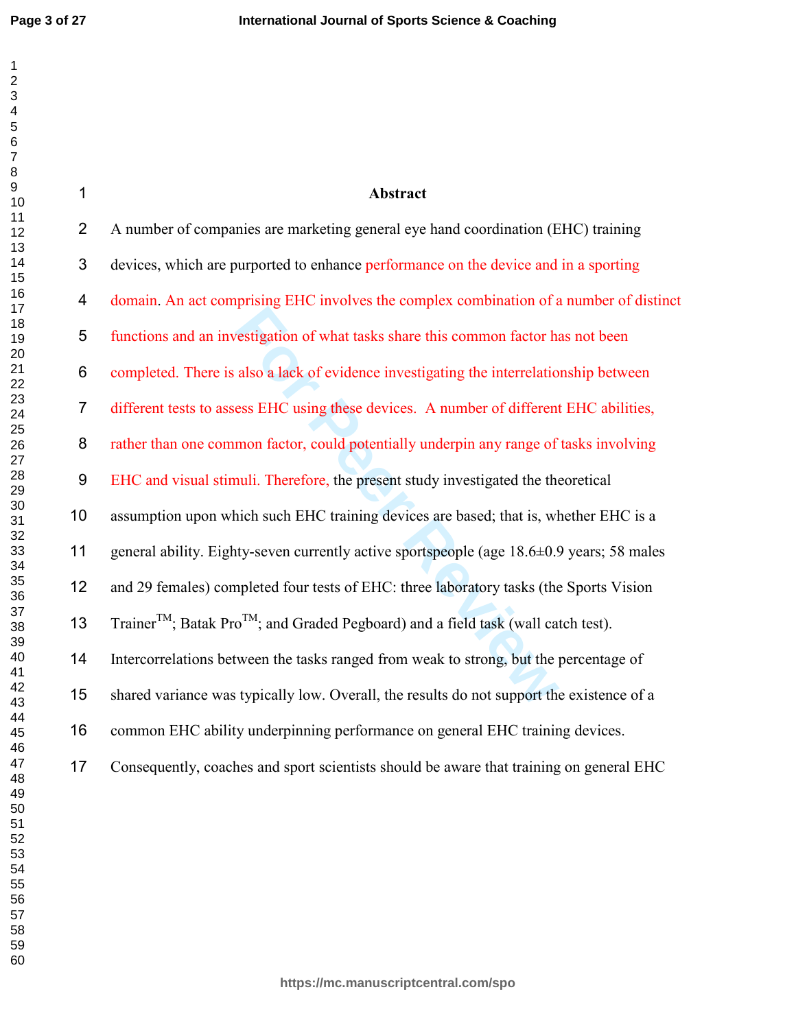| 1                                  |
|------------------------------------|
| $\overline{2}$                     |
|                                    |
|                                    |
|                                    |
| 34567、                             |
|                                    |
|                                    |
|                                    |
|                                    |
|                                    |
|                                    |
|                                    |
|                                    |
|                                    |
|                                    |
|                                    |
|                                    |
|                                    |
|                                    |
|                                    |
|                                    |
|                                    |
|                                    |
| . 89111111111112222222223333333333 |
|                                    |
|                                    |
|                                    |
|                                    |
|                                    |
|                                    |
|                                    |
|                                    |
|                                    |
|                                    |
|                                    |
|                                    |
|                                    |
|                                    |
|                                    |
|                                    |
|                                    |
| 39                                 |
|                                    |
| 40                                 |
| 41                                 |
| 4                                  |
| 43                                 |
| 44                                 |
| 45                                 |
| 46                                 |
| 47                                 |
|                                    |
| 48                                 |
| 49                                 |
| 50                                 |
| 51                                 |
| - .<br>52                          |
| 53                                 |
| 54                                 |
| 55                                 |
|                                    |
| 56<br>ć                            |
| 57                                 |
| 58                                 |
| 59                                 |

| 1 | Abstract |
|---|----------|
|---|----------|

estigation of what tasks share this common factor halso a lack of evidence investigating the interrelationess EHC using these devices. A number of different mon factor, could potentially underpin any range of nuli. Therefo A number of companies are marketing general eye hand coordination (EHC) training devices, which are purported to enhance performance on the device and in a sporting domain. An act comprising EHC involves the complex combination of a number of distinct functions and an investigation of what tasks share this common factor has not been completed. There is also a lack of evidence investigating the interrelationship between different tests to assess EHC using these devices. A number of different EHC abilities, rather than one common factor, could potentially underpin any range of tasks involving EHC and visual stimuli. Therefore, the present study investigated the theoretical assumption upon which such EHC training devices are based; that is, whether EHC is a general ability. Eighty-seven currently active sportspeople (age 18.6±0.9 years; 58 males and 29 females) completed four tests of EHC: three laboratory tasks (the Sports Vision 13 Trainer<sup>TM</sup>; Batak Pro<sup>TM</sup>; and Graded Pegboard) and a field task (wall catch test). Intercorrelations between the tasks ranged from weak to strong, but the percentage of shared variance was typically low. Overall, the results do not support the existence of a common EHC ability underpinning performance on general EHC training devices. Consequently, coaches and sport scientists should be aware that training on general EHC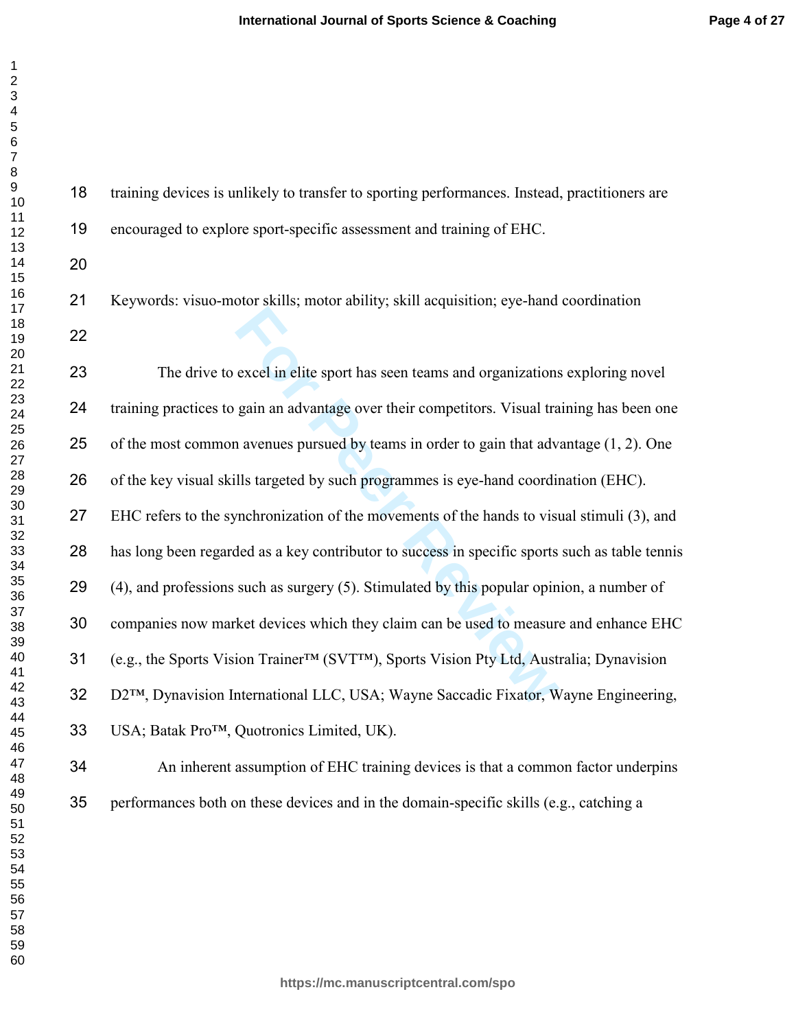For Falling, 18000 along, 5 and a<sub>questic</sub> experience, 9 Females, 19 Females, 19 Females, 19 Females, 19 Females, 19 Females, 1800 and a avenues pursued by teams in order to gain that adv IIs targeted by such programmes is training devices is unlikely to transfer to sporting performances. Instead, practitioners are encouraged to explore sport-specific assessment and training of EHC. Keywords: visuo-motor skills; motor ability; skill acquisition; eye-hand coordination The drive to excel in elite sport has seen teams and organizations exploring novel training practices to gain an advantage over their competitors. Visual training has been one of the most common avenues pursued by teams in order to gain that advantage (1, 2). One of the key visual skills targeted by such programmes is eye-hand coordination (EHC). EHC refers to the synchronization of the movements of the hands to visual stimuli (3), and has long been regarded as a key contributor to success in specific sports such as table tennis (4), and professions such as surgery (5). Stimulated by this popular opinion, a number of companies now market devices which they claim can be used to measure and enhance EHC (e.g., the Sports Vision Trainer™ (SVT™), Sports Vision Pty Ltd, Australia; Dynavision D2™, Dynavision International LLC, USA; Wayne Saccadic Fixator, Wayne Engineering, USA; Batak Pro™, Quotronics Limited, UK). An inherent assumption of EHC training devices is that a common factor underpins performances both on these devices and in the domain-specific skills (e.g., catching a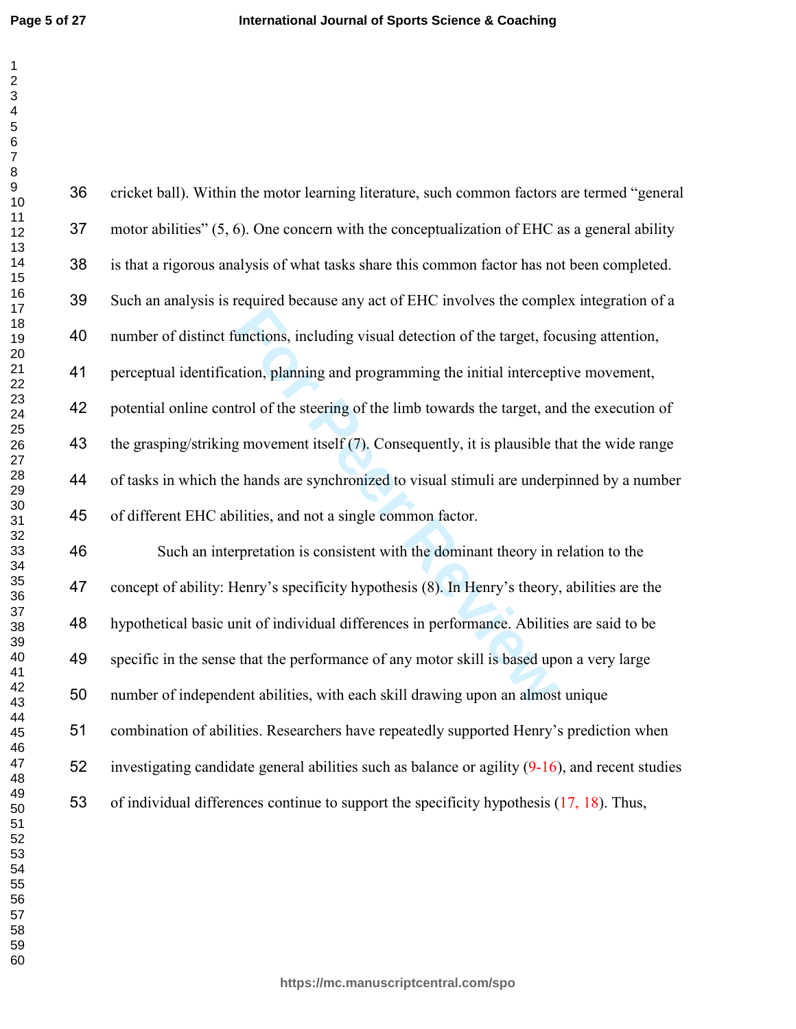| 36 | cricket ball). Within the motor learning literature, such common factors are termed "general       |
|----|----------------------------------------------------------------------------------------------------|
| 37 | motor abilities" $(5, 6)$ . One concern with the conceptualization of EHC as a general ability     |
| 38 | is that a rigorous analysis of what tasks share this common factor has not been completed.         |
| 39 | Such an analysis is required because any act of EHC involves the complex integration of a          |
| 40 | number of distinct functions, including visual detection of the target, focusing attention,        |
| 41 | perceptual identification, planning and programming the initial interceptive movement,             |
| 42 | potential online control of the steering of the limb towards the target, and the execution of      |
| 43 | the grasping/striking movement itself $(7)$ . Consequently, it is plausible that the wide range    |
| 44 | of tasks in which the hands are synchronized to visual stimuli are underpinned by a number         |
| 45 | of different EHC abilities, and not a single common factor.                                        |
| 46 | Such an interpretation is consistent with the dominant theory in relation to the                   |
| 47 | concept of ability: Henry's specificity hypothesis (8). In Henry's theory, abilities are the       |
| 48 | hypothetical basic unit of individual differences in performance. Abilities are said to be         |
| 49 | specific in the sense that the performance of any motor skill is based upon a very large           |
| 50 | number of independent abilities, with each skill drawing upon an almost unique                     |
| 51 | combination of abilities. Researchers have repeatedly supported Henry's prediction when            |
| 52 | investigating candidate general abilities such as balance or agility $(9-16)$ , and recent studies |
| 53 | of individual differences continue to support the specificity hypothesis $(17, 18)$ . Thus,        |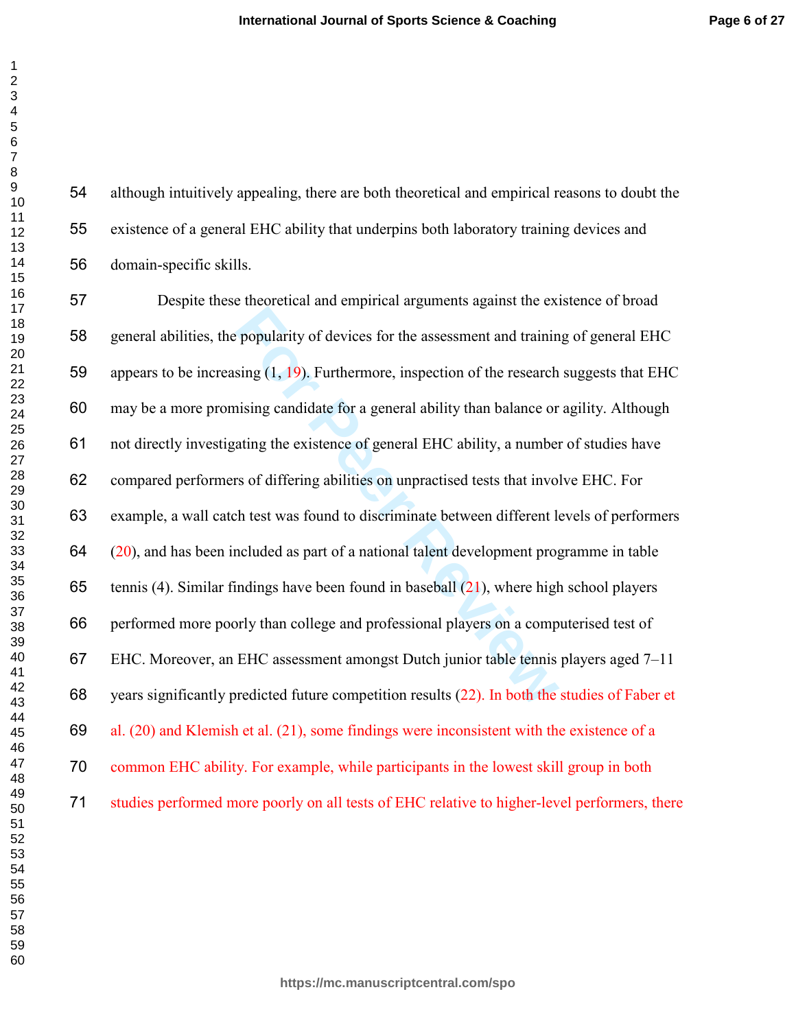although intuitively appealing, there are both theoretical and empirical reasons to doubt the existence of a general EHC ability that underpins both laboratory training devices and domain-specific skills.

**Examplemental and departmining the depending interaction** and training (1, 19). Furthermore, inspection of the research ising candidate for a general ability than balance or ating the existence of general EHC ability, a n Despite these theoretical and empirical arguments against the existence of broad general abilities, the popularity of devices for the assessment and training of general EHC 59 appears to be increasing  $(1, 19)$ . Furthermore, inspection of the research suggests that EHC may be a more promising candidate for a general ability than balance or agility. Although not directly investigating the existence of general EHC ability, a number of studies have compared performers of differing abilities on unpractised tests that involve EHC. For example, a wall catch test was found to discriminate between different levels of performers (20), and has been included as part of a national talent development programme in table tennis (4). Similar findings have been found in baseball (21), where high school players performed more poorly than college and professional players on a computerised test of EHC. Moreover, an EHC assessment amongst Dutch junior table tennis players aged 7–11 years significantly predicted future competition results (22). In both the studies of Faber et al. (20) and Klemish et al. (21), some findings were inconsistent with the existence of a common EHC ability. For example, while participants in the lowest skill group in both studies performed more poorly on all tests of EHC relative to higher-level performers, there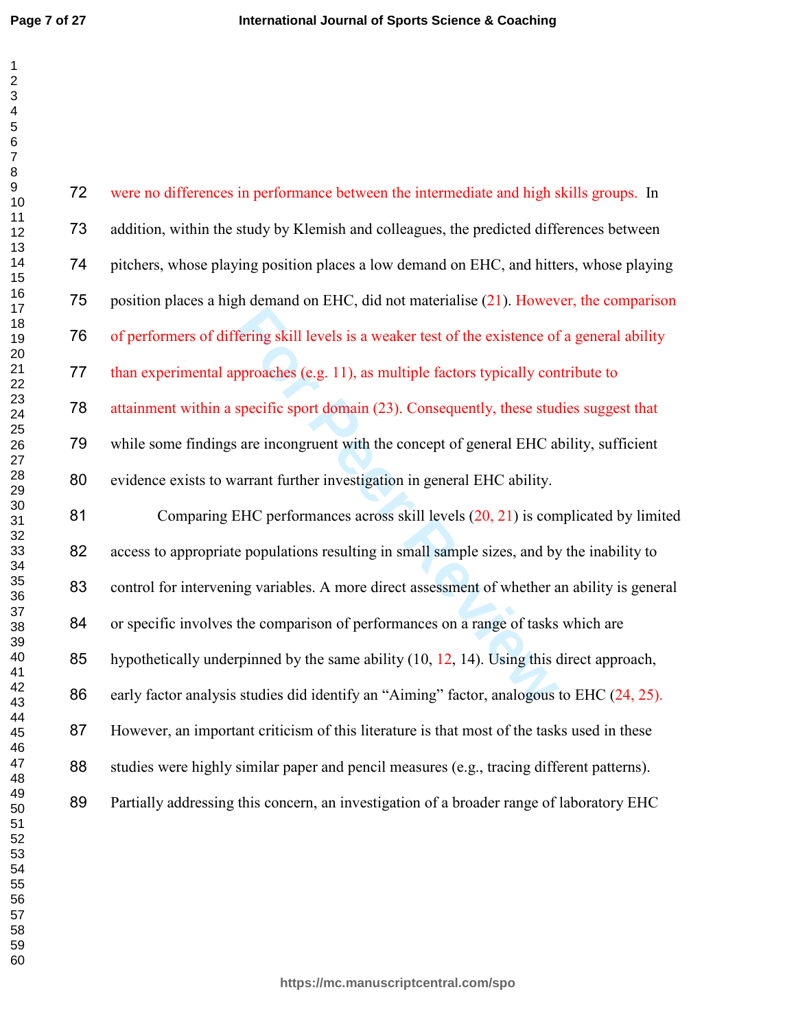| 72 | were no differences in performance between the intermediate and high skills groups. In         |
|----|------------------------------------------------------------------------------------------------|
| 73 | addition, within the study by Klemish and colleagues, the predicted differences between        |
| 74 | pitchers, whose playing position places a low demand on EHC, and hitters, whose playing        |
| 75 | position places a high demand on EHC, did not materialise (21). However, the comparison        |
| 76 | of performers of differing skill levels is a weaker test of the existence of a general ability |
| 77 | than experimental approaches (e.g. 11), as multiple factors typically contribute to            |
| 78 | attainment within a specific sport domain (23). Consequently, these studies suggest that       |
| 79 | while some findings are incongruent with the concept of general EHC ability, sufficient        |
| 80 | evidence exists to warrant further investigation in general EHC ability.                       |
| 81 | Comparing EHC performances across skill levels $(20, 21)$ is complicated by limited            |
| 82 | access to appropriate populations resulting in small sample sizes, and by the inability to     |
| 83 | control for intervening variables. A more direct assessment of whether an ability is general   |
| 84 | or specific involves the comparison of performances on a range of tasks which are              |
| 85 | hypothetically underpinned by the same ability $(10, 12, 14)$ . Using this direct approach,    |
| 86 | early factor analysis studies did identify an "Aiming" factor, analogous to EHC (24, 25).      |
| 87 | However, an important criticism of this literature is that most of the tasks used in these     |
| 88 | studies were highly similar paper and pencil measures (e.g., tracing different patterns).      |
| 89 | Partially addressing this concern, an investigation of a broader range of laboratory EHC       |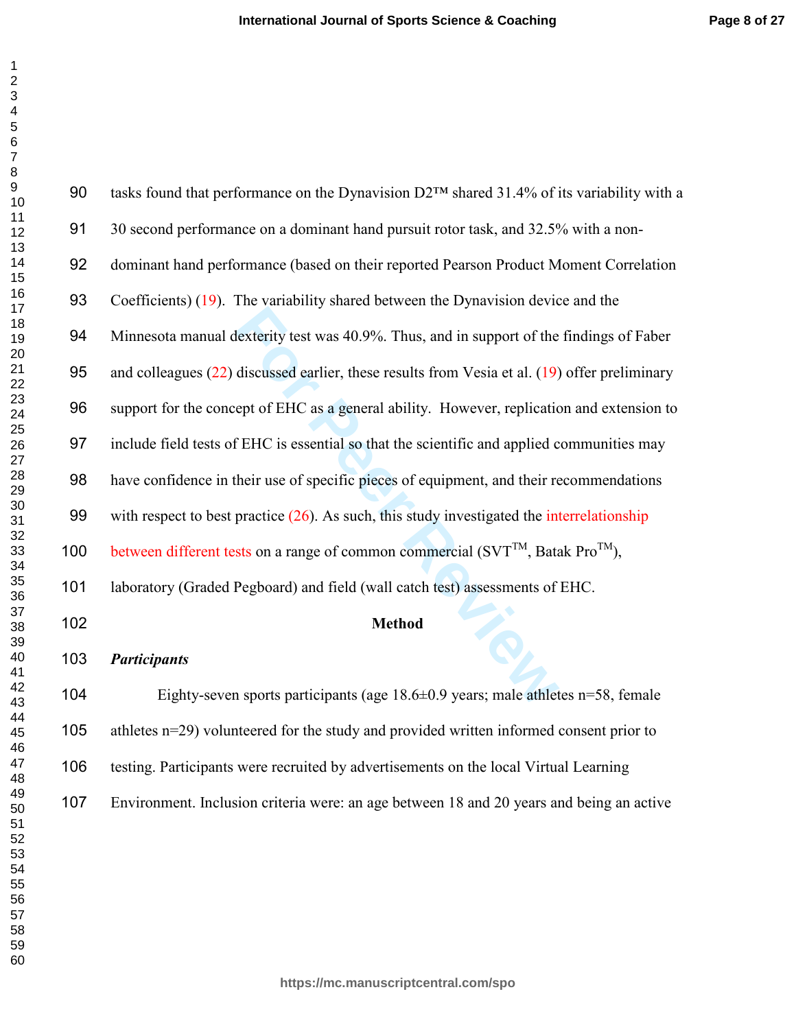| 90  | tasks found that performance on the Dynavision $D2^{TM}$ shared 31.4% of its variability with a   |
|-----|---------------------------------------------------------------------------------------------------|
| 91  | 30 second performance on a dominant hand pursuit rotor task, and 32.5% with a non-                |
| 92  | dominant hand performance (based on their reported Pearson Product Moment Correlation             |
| 93  | Coefficients) (19). The variability shared between the Dynavision device and the                  |
| 94  | Minnesota manual dexterity test was 40.9%. Thus, and in support of the findings of Faber          |
| 95  | and colleagues $(22)$ discussed earlier, these results from Vesia et al. $(19)$ offer preliminary |
| 96  | support for the concept of EHC as a general ability. However, replication and extension to        |
| 97  | include field tests of EHC is essential so that the scientific and applied communities may        |
| 98  | have confidence in their use of specific pieces of equipment, and their recommendations           |
| 99  | with respect to best practice $(26)$ . As such, this study investigated the interrelationship     |
| 100 | between different tests on a range of common commercial $(SVT^{TM}, Batak Pro^{TM}),$             |
| 101 | laboratory (Graded Pegboard) and field (wall catch test) assessments of EHC.                      |
| 102 | <b>Method</b>                                                                                     |
| 103 | <b>Participants</b>                                                                               |
| 104 | Eighty-seven sports participants (age $18.6 \pm 0.9$ years; male athletes n=58, female            |
| 105 | athletes n=29) volunteered for the study and provided written informed consent prior to           |
| 106 | testing. Participants were recruited by advertisements on the local Virtual Learning              |
| 107 | Environment. Inclusion criteria were: an age between 18 and 20 years and being an active          |
|     |                                                                                                   |
|     |                                                                                                   |
|     |                                                                                                   |

 $\mathbf{1}$  $\overline{2}$  $\overline{\mathbf{4}}$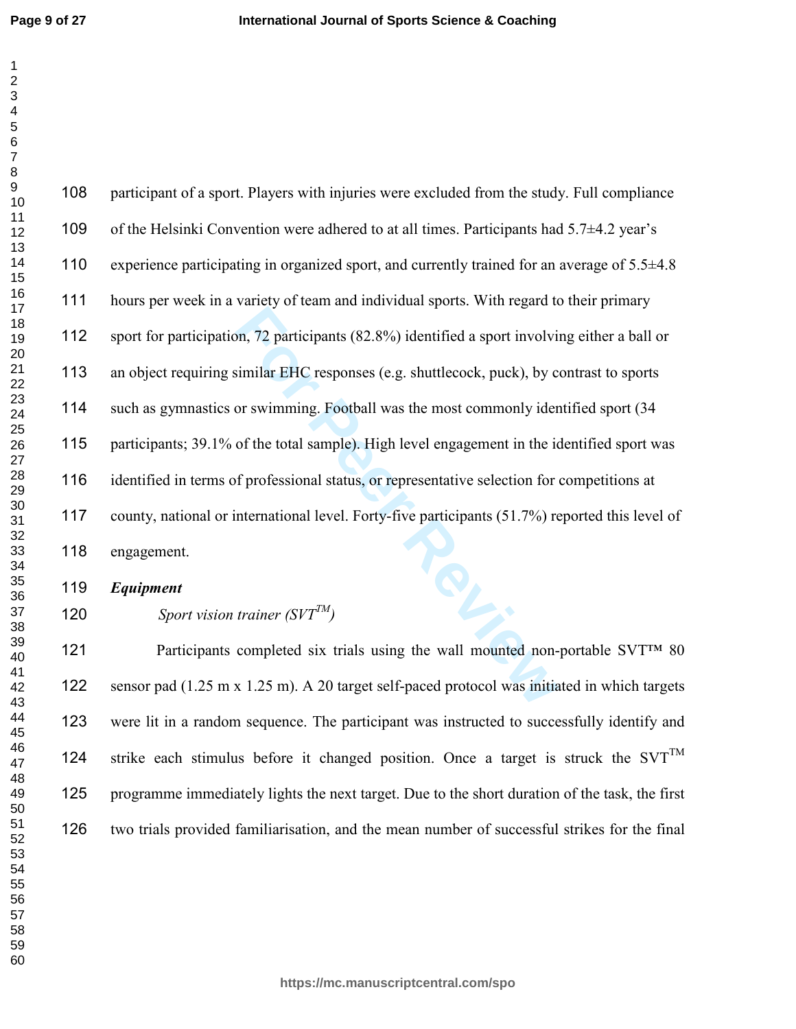$\mathbf 1$ 

For Persian and Praise proton integral in<br>the space of the spotter involviry is<br>imilar EHC responses (e.g. shuttlecock, puck), by cords winning. Football was the most commonly identified of the total sample). High level e participant of a sport. Players with injuries were excluded from the study. Full compliance of the Helsinki Convention were adhered to at all times. Participants had 5.7±4.2 year's 110 experience participating in organized sport, and currently trained for an average of 5.5 $\pm$ 4.8 hours per week in a variety of team and individual sports. With regard to their primary sport for participation, 72 participants (82.8%) identified a sport involving either a ball or an object requiring similar EHC responses (e.g. shuttlecock, puck), by contrast to sports such as gymnastics or swimming. Football was the most commonly identified sport (34 participants; 39.1% of the total sample). High level engagement in the identified sport was identified in terms of professional status, or representative selection for competitions at county, national or international level. Forty-five participants (51.7%) reported this level of engagement.

*Equipment* 

*Sport vision trainer (SVTTM )* 

121 Participants completed six trials using the wall mounted non-portable SVT<sup>TM</sup> 80 sensor pad (1.25 m x 1.25 m). A 20 target self-paced protocol was initiated in which targets were lit in a random sequence. The participant was instructed to successfully identify and 124 strike each stimulus before it changed position. Once a target is struck the  $SVT^{TM}$ programme immediately lights the next target. Due to the short duration of the task, the first two trials provided familiarisation, and the mean number of successful strikes for the final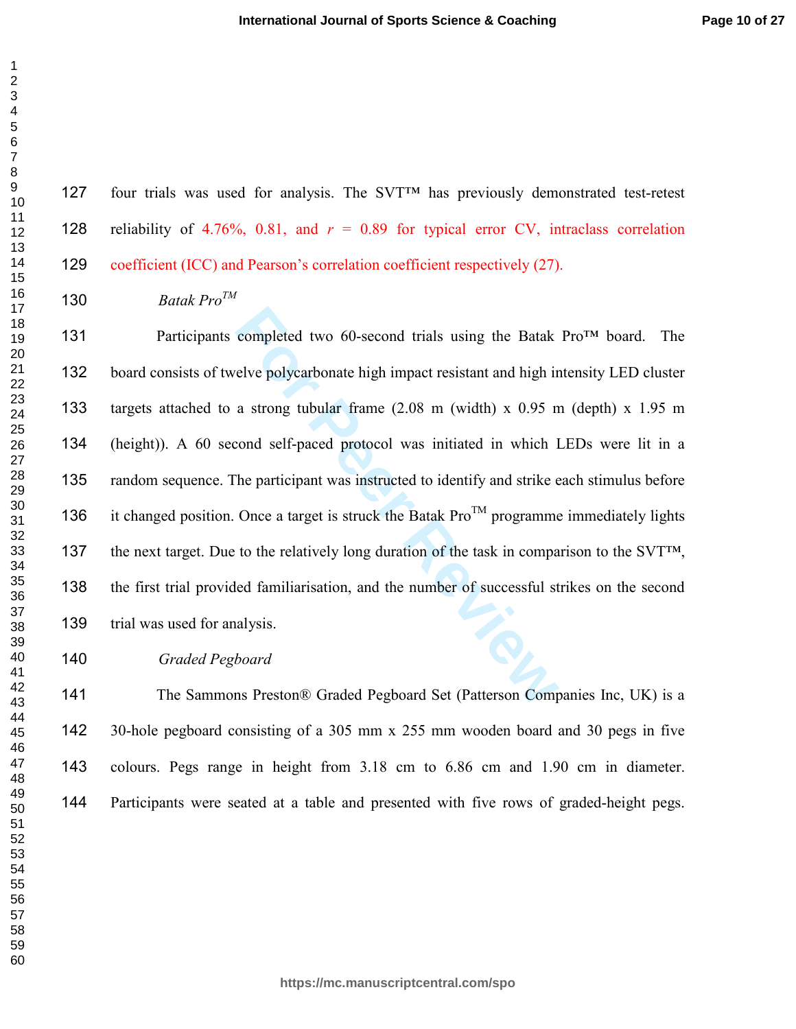$\mathbf{1}$ 

four trials was used for analysis. The SVT™ has previously demonstrated test-retest 128 reliability of  $4.76\%$ , 0.81, and  $r = 0.89$  for typical error CV, intraclass correlation coefficient (ICC) and Pearson's correlation coefficient respectively (27).

*Batak ProTM*

completed two 60-second trials using the Batak<br>elve polycarbonate high impact resistant and high ir<br>a strong tubular frame (2.08 m (width) x 0.95 n<br>cond self-paced protocol was initiated in which I<br>the participant was ins Participants completed two 60-second trials using the Batak Pro™ board. The board consists of twelve polycarbonate high impact resistant and high intensity LED cluster targets attached to a strong tubular frame (2.08 m (width) x 0.95 m (depth) x 1.95 m (height)). A 60 second self-paced protocol was initiated in which LEDs were lit in a random sequence. The participant was instructed to identify and strike each stimulus before 136 it changed position. Once a target is struck the Batak  $Pro^{TM}$  programme immediately lights 137 the next target. Due to the relatively long duration of the task in comparison to the SVT<sup>TM</sup>, the first trial provided familiarisation, and the number of successful strikes on the second 139 trial was used for analysis.

*Graded Pegboard* 

141 The Sammons Preston® Graded Pegboard Set (Patterson Companies Inc, UK) is a 30-hole pegboard consisting of a 305 mm x 255 mm wooden board and 30 pegs in five colours. Pegs range in height from 3.18 cm to 6.86 cm and 1.90 cm in diameter. Participants were seated at a table and presented with five rows of graded-height pegs.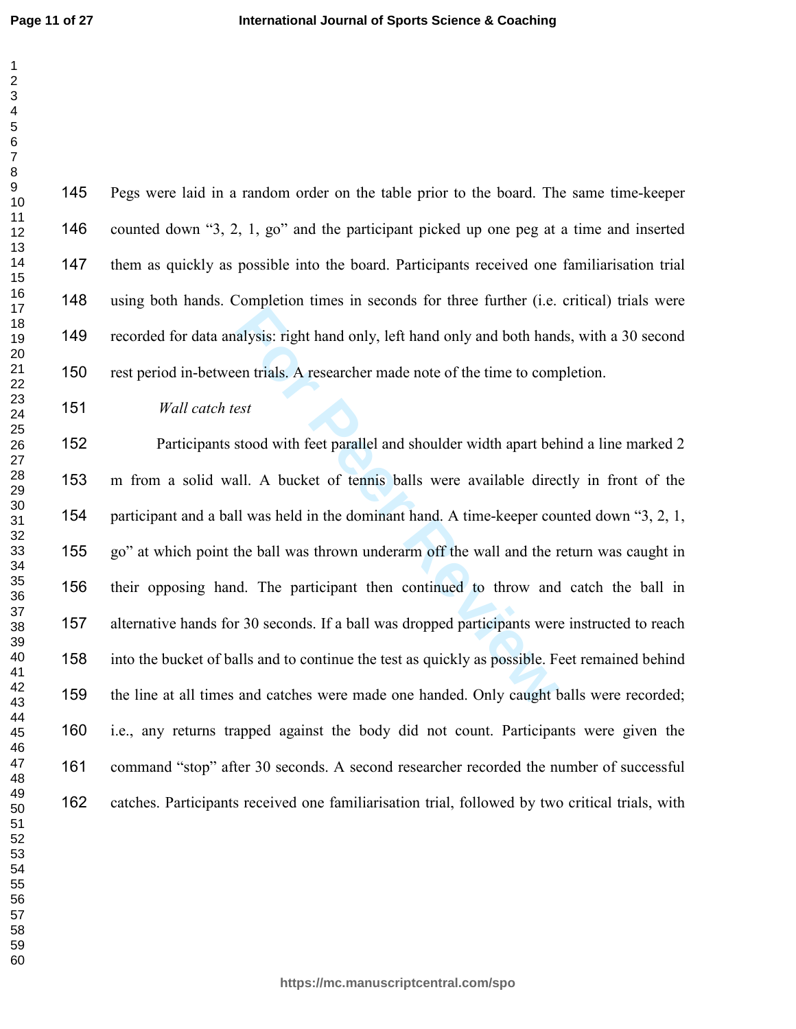Pegs were laid in a random order on the table prior to the board. The same time-keeper counted down "3, 2, 1, go" and the participant picked up one peg at a time and inserted them as quickly as possible into the board. Participants received one familiarisation trial using both hands. Completion times in seconds for three further (i.e. critical) trials were recorded for data analysis: right hand only, left hand only and both hands, with a 30 second rest period in-between trials. A researcher made note of the time to completion.

*Wall catch test* 

**EXECUTE:** The EXECUTE TO THE TERM (a) and set allysis: right hand only, left hand only and both hand<br>en trials. A researcher made note of the time to compose<br>stood with feet parallel and shoulder width apart behead.<br>II. A Participants stood with feet parallel and shoulder width apart behind a line marked 2 m from a solid wall. A bucket of tennis balls were available directly in front of the participant and a ball was held in the dominant hand. A time-keeper counted down "3, 2, 1, go" at which point the ball was thrown underarm off the wall and the return was caught in their opposing hand. The participant then continued to throw and catch the ball in alternative hands for 30 seconds. If a ball was dropped participants were instructed to reach into the bucket of balls and to continue the test as quickly as possible. Feet remained behind the line at all times and catches were made one handed. Only caught balls were recorded; i.e., any returns trapped against the body did not count. Participants were given the 161 command "stop" after 30 seconds. A second researcher recorded the number of successful catches. Participants received one familiarisation trial, followed by two critical trials, with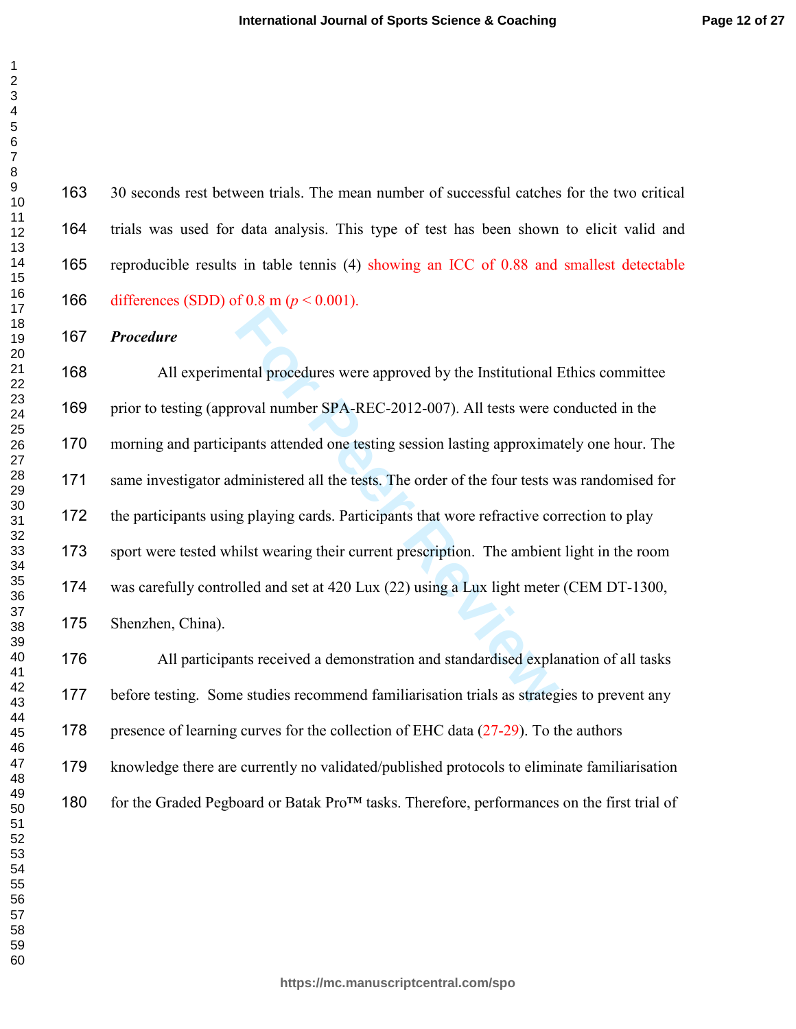30 seconds rest between trials. The mean number of successful catches for the two critical trials was used for data analysis. This type of test has been shown to elicit valid and reproducible results in table tennis (4) showing an ICC of 0.88 and smallest detectable differences (SDD) of 0.8 m (*p* < 0.001).

*Procedure* 

**For Example 1988**<br>
For Englanding and the Institutional I<br>
For Pauli number SPA-REC-2012-007). All tests were contrast attended one testing session lasting approxima<br>
Iministered all the tests. The order of the four tests All experimental procedures were approved by the Institutional Ethics committee prior to testing (approval number SPA-REC-2012-007). All tests were conducted in the morning and participants attended one testing session lasting approximately one hour. The same investigator administered all the tests. The order of the four tests was randomised for 172 the participants using playing cards. Participants that wore refractive correction to play sport were tested whilst wearing their current prescription. The ambient light in the room was carefully controlled and set at 420 Lux (22) using a Lux light meter (CEM DT-1300, Shenzhen, China).

All participants received a demonstration and standardised explanation of all tasks before testing. Some studies recommend familiarisation trials as strategies to prevent any 178 presence of learning curves for the collection of EHC data (27-29). To the authors knowledge there are currently no validated/published protocols to eliminate familiarisation

180 for the Graded Pegboard or Batak Pro™ tasks. Therefore, performances on the first trial of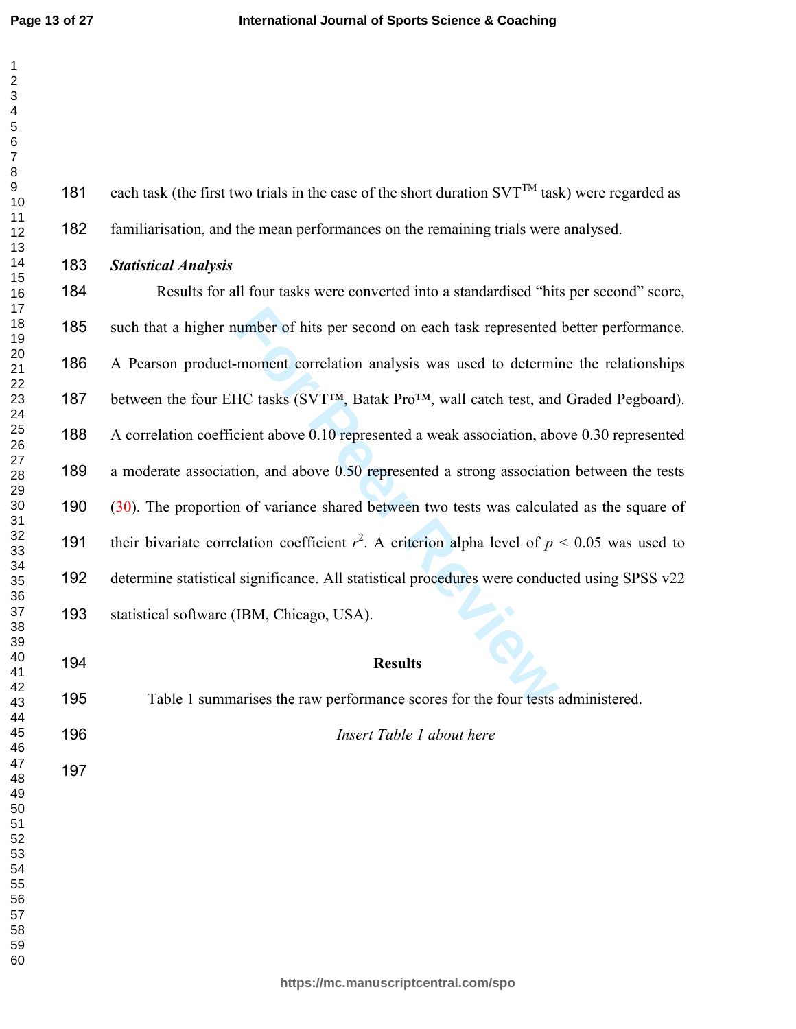$\mathbf 1$ 

181 each task (the first two trials in the case of the short duration  $SVT^{TM}$  task) were regarded as

familiarisation, and the mean performances on the remaining trials were analysed.

## *Statistical Analysis*

umber of hits per second on each task represented<br>
moment correlation analysis was used to determin<br>
HC tasks (SVT<sup>TM</sup>, Batak Pro<sup>TM</sup>, wall catch test, and<br>
cient above 0.10 represented a weak association, abc<br>
ion, and a Results for all four tasks were converted into a standardised "hits per second" score, such that a higher number of hits per second on each task represented better performance. A Pearson product-moment correlation analysis was used to determine the relationships between the four EHC tasks (SVT™, Batak Pro™, wall catch test, and Graded Pegboard). A correlation coefficient above 0.10 represented a weak association, above 0.30 represented a moderate association, and above 0.50 represented a strong association between the tests (30). The proportion of variance shared between two tests was calculated as the square of 191 their bivariate correlation coefficient  $r^2$ . A criterion alpha level of  $p < 0.05$  was used to determine statistical significance. All statistical procedures were conducted using SPSS v22 statistical software (IBM, Chicago, USA).

### **Results**

Table 1 summarises the raw performance scores for the four tests administered.

*Insert Table 1 about here*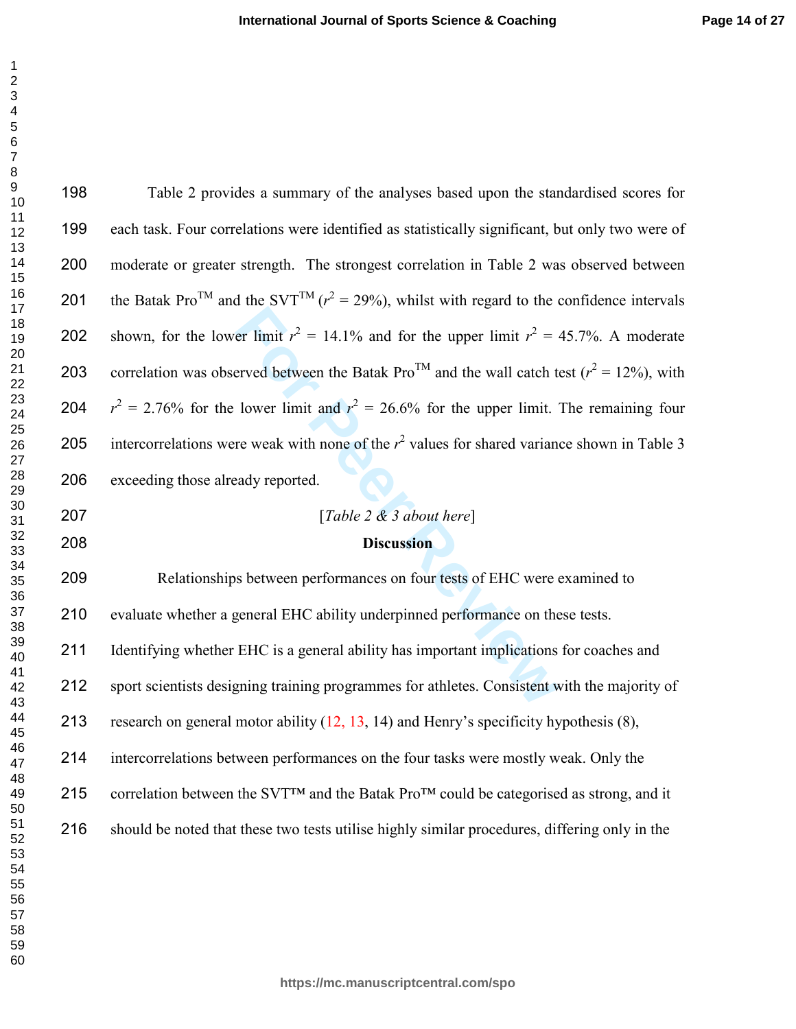| 1                                            |  |
|----------------------------------------------|--|
| 2                                            |  |
|                                              |  |
|                                              |  |
|                                              |  |
|                                              |  |
|                                              |  |
|                                              |  |
|                                              |  |
|                                              |  |
|                                              |  |
|                                              |  |
|                                              |  |
|                                              |  |
|                                              |  |
|                                              |  |
|                                              |  |
|                                              |  |
| 34567891011234156783.                        |  |
| ر<br>19<br>20                                |  |
|                                              |  |
|                                              |  |
| -<br>21<br>-<br>2234562728                   |  |
|                                              |  |
|                                              |  |
|                                              |  |
|                                              |  |
|                                              |  |
|                                              |  |
| 29                                           |  |
| $\frac{1}{2}$                                |  |
|                                              |  |
|                                              |  |
|                                              |  |
|                                              |  |
|                                              |  |
|                                              |  |
|                                              |  |
|                                              |  |
| 31<br>32<br>33<br>34<br>35<br>36<br>37<br>38 |  |
|                                              |  |
| 40                                           |  |
| 41                                           |  |
| 4                                            |  |
| 43<br>ś                                      |  |
| 44                                           |  |
| 45                                           |  |
| 46                                           |  |
| 47                                           |  |
| 48                                           |  |
| 49                                           |  |
| 50                                           |  |
| 51                                           |  |
| -<br>52                                      |  |
| E<br>X<br>3                                  |  |
| 54                                           |  |
| 55                                           |  |
| 56<br>ì                                      |  |
| 57                                           |  |
|                                              |  |
| 58                                           |  |
| 59                                           |  |
| 60                                           |  |

| 198 | Table 2 provides a summary of the analyses based upon the standardised scores for                                    |
|-----|----------------------------------------------------------------------------------------------------------------------|
| 199 | each task. Four correlations were identified as statistically significant, but only two were of                      |
| 200 | moderate or greater strength. The strongest correlation in Table 2 was observed between                              |
| 201 | the Batak Pro <sup>TM</sup> and the SVT <sup>TM</sup> ( $r^2$ = 29%), whilst with regard to the confidence intervals |
| 202 | shown, for the lower limit $r^2 = 14.1\%$ and for the upper limit $r^2 = 45.7\%$ . A moderate                        |
| 203 | correlation was observed between the Batak Pro <sup>TM</sup> and the wall catch test ( $r^2 = 12\%$ ), with          |
| 204 | $r^2$ = 2.76% for the lower limit and $r^2$ = 26.6% for the upper limit. The remaining four                          |
| 205 | intercorrelations were weak with none of the $r^2$ values for shared variance shown in Table 3                       |
| 206 | exceeding those already reported.                                                                                    |
| 207 | [Table $2 & 3$ about here]                                                                                           |
| 208 | <b>Discussion</b>                                                                                                    |
| 209 | Relationships between performances on four tests of EHC were examined to                                             |
| 210 | evaluate whether a general EHC ability underpinned performance on these tests.                                       |
| 211 | Identifying whether EHC is a general ability has important implications for coaches and                              |
| 212 | sport scientists designing training programmes for athletes. Consistent with the majority of                         |
|     |                                                                                                                      |

| 207 | [Table 2 $\&$ 3 about here |
|-----|----------------------------|
| 208 | <b>Discussion</b>          |

Relationships between performances on four tests of EHC were examined to evaluate whether a general EHC ability underpinned performance on these tests. Identifying whether EHC is a general ability has important implications for coaches and sport scientists designing training programmes for athletes. Consistent with the majority of research on general motor ability (12, 13, 14) and Henry's specificity hypothesis (8), intercorrelations between performances on the four tasks were mostly weak. Only the 215 correlation between the SVT<sup>TM</sup> and the Batak Pro<sup>TM</sup> could be categorised as strong, and it should be noted that these two tests utilise highly similar procedures, differing only in the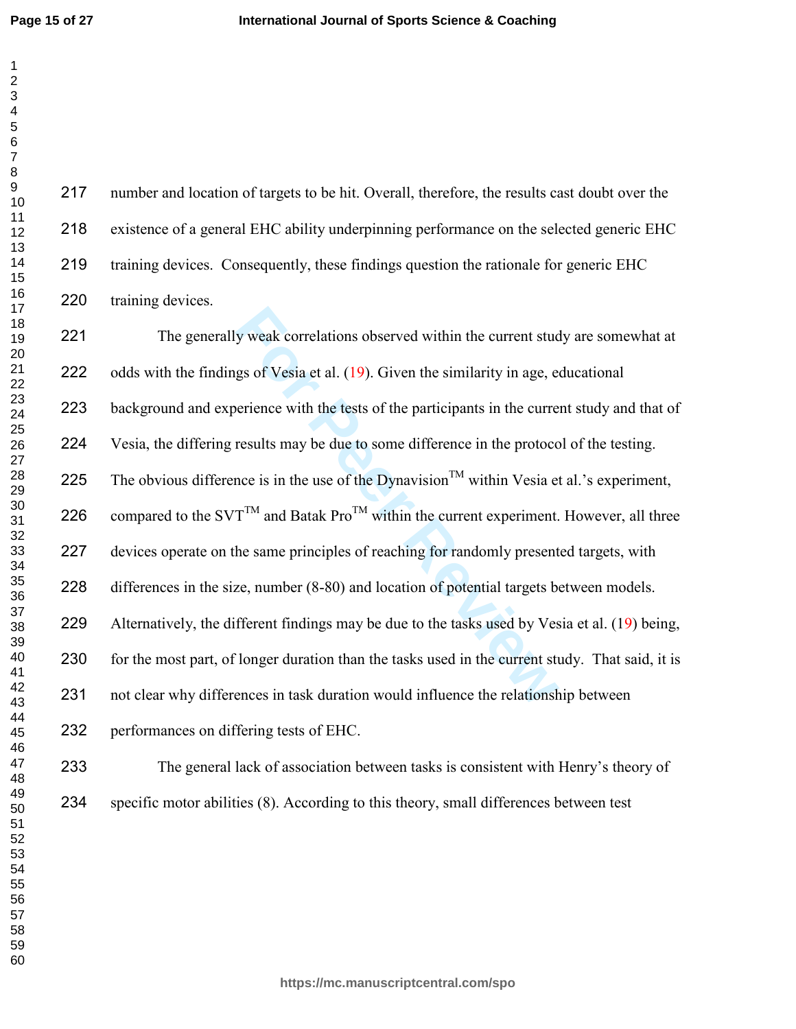number and location of targets to be hit. Overall, therefore, the results cast doubt over the existence of a general EHC ability underpinning performance on the selected generic EHC training devices. Consequently, these findings question the rationale for generic EHC 220 training devices.

**Follow Sy weak correlations observed within the current studes** gs of Vesia et al. (19). Given the similarity in age, everience with the tests of the participants in the curre results may be due to some difference in the The generally weak correlations observed within the current study are somewhat at 222 odds with the findings of Vesia et al. (19). Given the similarity in age, educational background and experience with the tests of the participants in the current study and that of Vesia, the differing results may be due to some difference in the protocol of the testing. 225 The obvious difference is in the use of the Dynavision<sup>TM</sup> within Vesia et al.'s experiment, 226 compared to the SVT<sup>TM</sup> and Batak Pro<sup>TM</sup> within the current experiment. However, all three 227 devices operate on the same principles of reaching for randomly presented targets, with differences in the size, number (8-80) and location of potential targets between models. 229 Alternatively, the different findings may be due to the tasks used by Vesia et al. (19) being, 230 for the most part, of longer duration than the tasks used in the current study. That said, it is not clear why differences in task duration would influence the relationship between performances on differing tests of EHC.

The general lack of association between tasks is consistent with Henry's theory of

specific motor abilities (8). According to this theory, small differences between test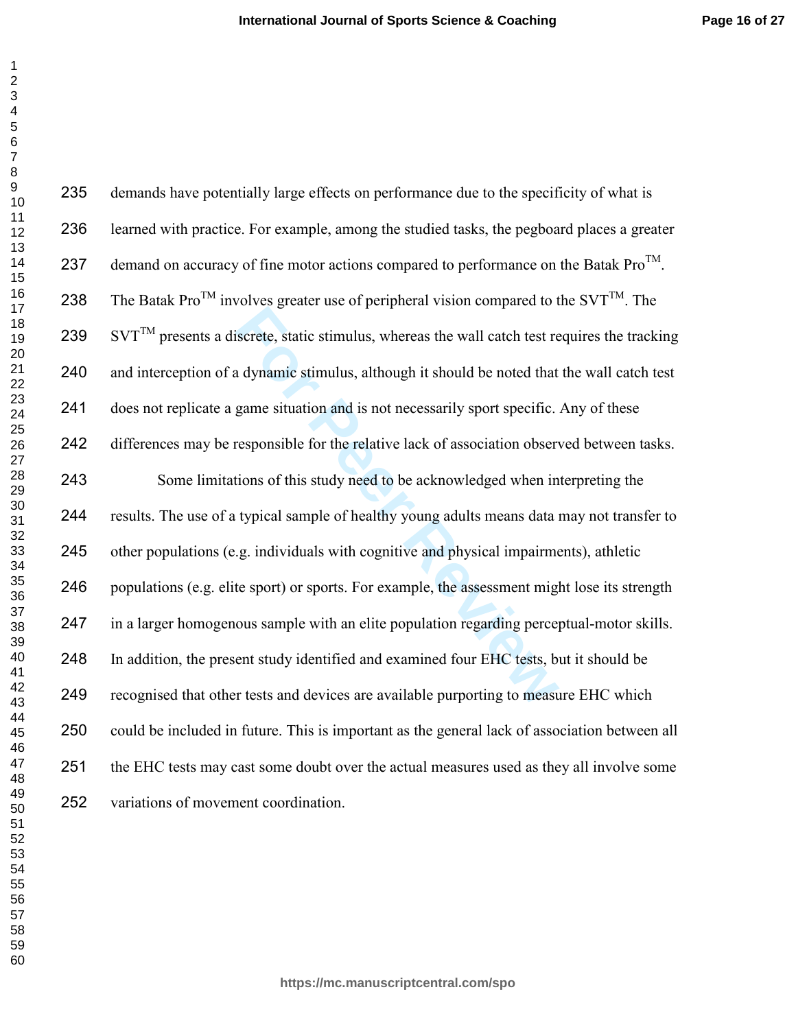| 235 | demands have potentially large effects on performance due to the specificity of what is                       |
|-----|---------------------------------------------------------------------------------------------------------------|
| 236 | learned with practice. For example, among the studied tasks, the pegboard places a greater                    |
| 237 | demand on accuracy of fine motor actions compared to performance on the Batak $Pro^{TM}$ .                    |
| 238 | The Batak Pro <sup>TM</sup> involves greater use of peripheral vision compared to the SVT <sup>TM</sup> . The |
| 239 | $SVT^{TM}$ presents a discrete, static stimulus, whereas the wall catch test requires the tracking            |
| 240 | and interception of a dynamic stimulus, although it should be noted that the wall catch test                  |
| 241 | does not replicate a game situation and is not necessarily sport specific. Any of these                       |
| 242 | differences may be responsible for the relative lack of association observed between tasks.                   |
| 243 | Some limitations of this study need to be acknowledged when interpreting the                                  |
| 244 | results. The use of a typical sample of healthy young adults means data may not transfer to                   |
| 245 | other populations (e.g. individuals with cognitive and physical impairments), athletic                        |
| 246 | populations (e.g. elite sport) or sports. For example, the assessment might lose its strength                 |
| 247 | in a larger homogenous sample with an elite population regarding perceptual-motor skills.                     |
| 248 | In addition, the present study identified and examined four EHC tests, but it should be                       |
| 249 | recognised that other tests and devices are available purporting to measure EHC which                         |
| 250 | could be included in future. This is important as the general lack of association between all                 |
| 251 | the EHC tests may cast some doubt over the actual measures used as they all involve some                      |
| 252 | variations of movement coordination.                                                                          |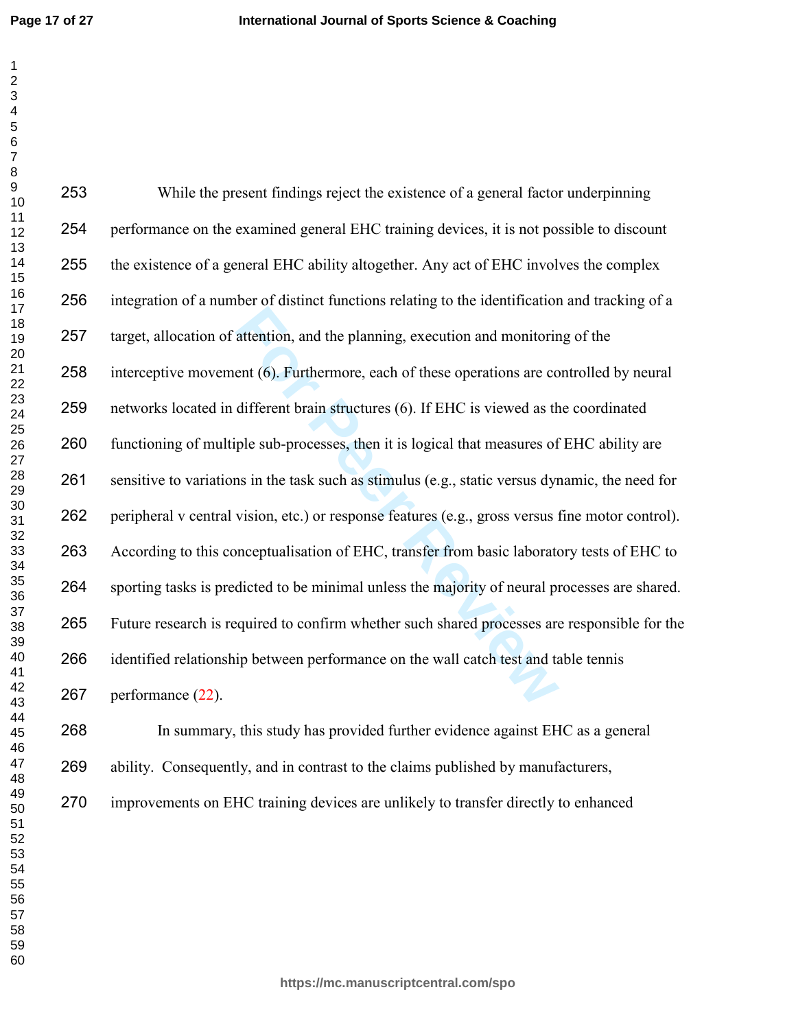| 1                                    |
|--------------------------------------|
| 2                                    |
|                                      |
|                                      |
|                                      |
| 34567                                |
|                                      |
|                                      |
|                                      |
|                                      |
|                                      |
|                                      |
|                                      |
|                                      |
| 891011213141516178                   |
|                                      |
|                                      |
|                                      |
|                                      |
|                                      |
| - 19<br>20<br>-                      |
|                                      |
|                                      |
|                                      |
| $123456789$                          |
|                                      |
|                                      |
|                                      |
|                                      |
|                                      |
|                                      |
| $30$ 31 $32$ 33 $34$ 35 $36$ 37 $38$ |
|                                      |
|                                      |
|                                      |
|                                      |
|                                      |
|                                      |
|                                      |
|                                      |
| .<br>39                              |
| 40                                   |
|                                      |
| 41                                   |
| 4:                                   |
| 43                                   |
| 44                                   |
| 45                                   |
| 46                                   |
| 47                                   |
| 48                                   |
| 49                                   |
| 50                                   |
| 51                                   |
| ۔<br>52<br>$\overline{ }$            |
| Ę<br>53                              |
| 54                                   |
| 55                                   |
|                                      |
| 56<br>ć                              |
| 57                                   |
| 58                                   |
| 59<br>ϡ                              |

attention, and the planning, execution and monitorir<br>ent (6). Furthermore, each of these operations are co<br>different brain structures (6). If EHC is viewed as th<br>ple sub-processes, then it is logical that measures of<br>ns in While the present findings reject the existence of a general factor underpinning performance on the examined general EHC training devices, it is not possible to discount the existence of a general EHC ability altogether. Any act of EHC involves the complex integration of a number of distinct functions relating to the identification and tracking of a target, allocation of attention, and the planning, execution and monitoring of the interceptive movement (6). Furthermore, each of these operations are controlled by neural networks located in different brain structures (6). If EHC is viewed as the coordinated functioning of multiple sub-processes, then it is logical that measures of EHC ability are sensitive to variations in the task such as stimulus (e.g., static versus dynamic, the need for peripheral v central vision, etc.) or response features (e.g., gross versus fine motor control). According to this conceptualisation of EHC, transfer from basic laboratory tests of EHC to sporting tasks is predicted to be minimal unless the majority of neural processes are shared. Future research is required to confirm whether such shared processes are responsible for the identified relationship between performance on the wall catch test and table tennis performance (22).

In summary, this study has provided further evidence against EHC as a general ability. Consequently, and in contrast to the claims published by manufacturers,

improvements on EHC training devices are unlikely to transfer directly to enhanced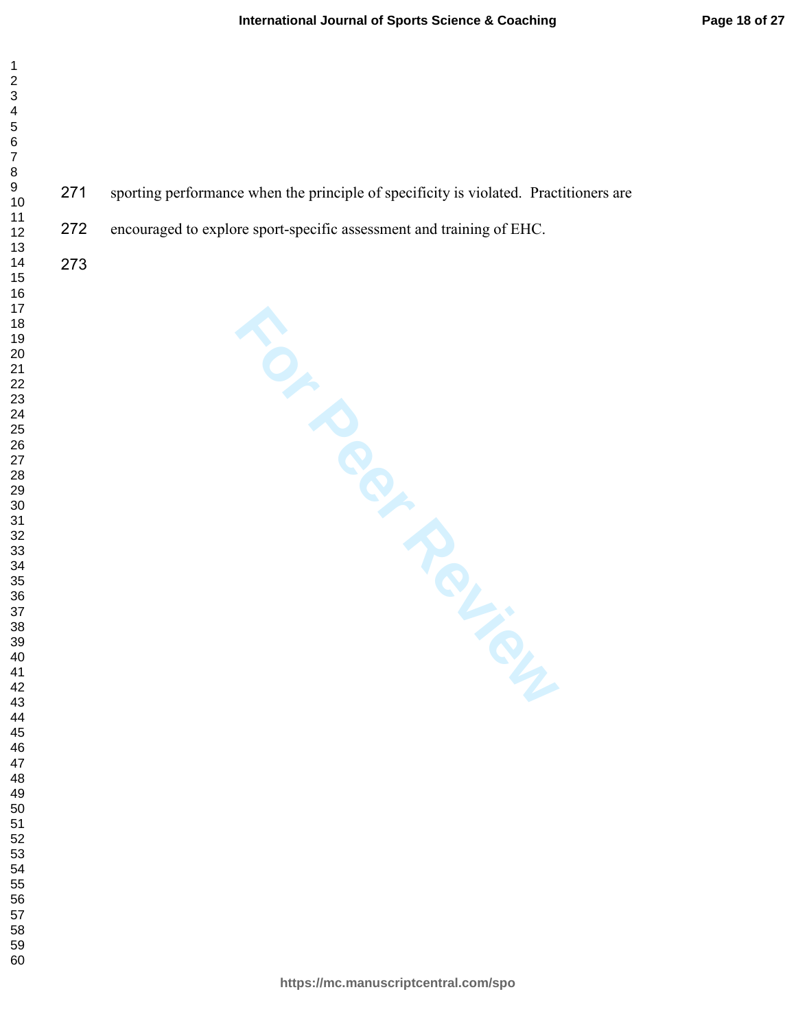encouraged to explore sport-specific assessment and training of EHC.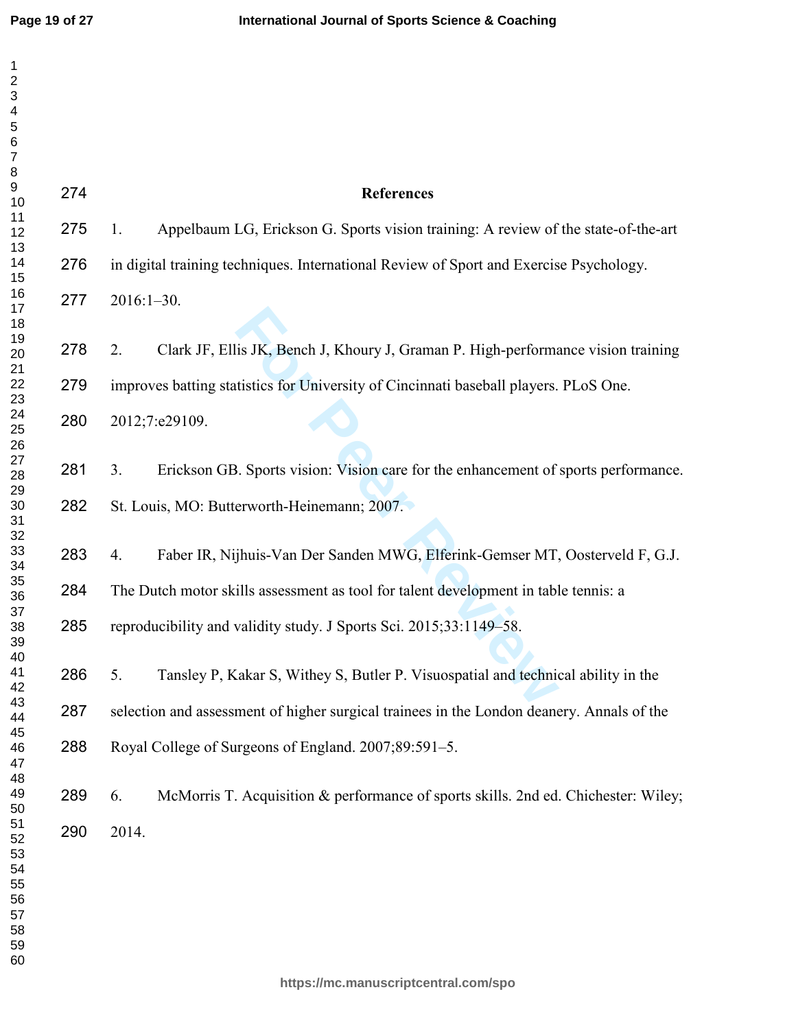$\mathbf{1}$  $\overline{2}$ 

| 4                                                        |     |                                                                                           |
|----------------------------------------------------------|-----|-------------------------------------------------------------------------------------------|
| 5<br>6                                                   |     |                                                                                           |
| $\boldsymbol{7}$                                         |     |                                                                                           |
| $\bf 8$<br>9<br>10                                       | 274 | <b>References</b>                                                                         |
| 11<br>12                                                 | 275 | Appelbaum LG, Erickson G. Sports vision training: A review of the state-of-the-art<br>1.  |
| 13<br>14<br>15                                           | 276 | in digital training techniques. International Review of Sport and Exercise Psychology.    |
| 16<br>17<br>18                                           | 277 | $2016:1 - 30.$                                                                            |
| 19<br>20                                                 | 278 | Clark JF, Ellis JK, Bench J, Khoury J, Graman P. High-performance vision training<br>2.   |
| 21<br>22<br>23                                           | 279 | improves batting statistics for University of Cincinnati baseball players. PLoS One.      |
| 24<br>25<br>26                                           | 280 | 2012;7:e29109.                                                                            |
| 27<br>28                                                 | 281 | 3.<br>Erickson GB. Sports vision: Vision care for the enhancement of sports performance.  |
| 29<br>30<br>31<br>32                                     | 282 | St. Louis, MO: Butterworth-Heinemann; 2007.                                               |
| 33<br>34                                                 | 283 | Faber IR, Nijhuis-Van Der Sanden MWG, Elferink-Gemser MT, Oosterveld F, G.J.<br>4.        |
| 35<br>36                                                 | 284 | The Dutch motor skills assessment as tool for talent development in table tennis: a       |
| 37<br>38<br>39<br>40                                     | 285 | reproducibility and validity study. J Sports Sci. 2015;33:1149–58.                        |
| 41<br>42                                                 | 286 | Tansley P, Kakar S, Withey S, Butler P. Visuospatial and technical ability in the<br>5.   |
| 43<br>44<br>45                                           | 287 | selection and assessment of higher surgical trainees in the London deanery. Annals of the |
| 46<br>47<br>48                                           | 288 | Royal College of Surgeons of England. 2007;89:591-5.                                      |
| 49<br>50                                                 | 289 | McMorris T. Acquisition & performance of sports skills. 2nd ed. Chichester: Wiley;<br>6.  |
| 51<br>52<br>53<br>54<br>55<br>56<br>57<br>58<br>59<br>60 | 290 | 2014.                                                                                     |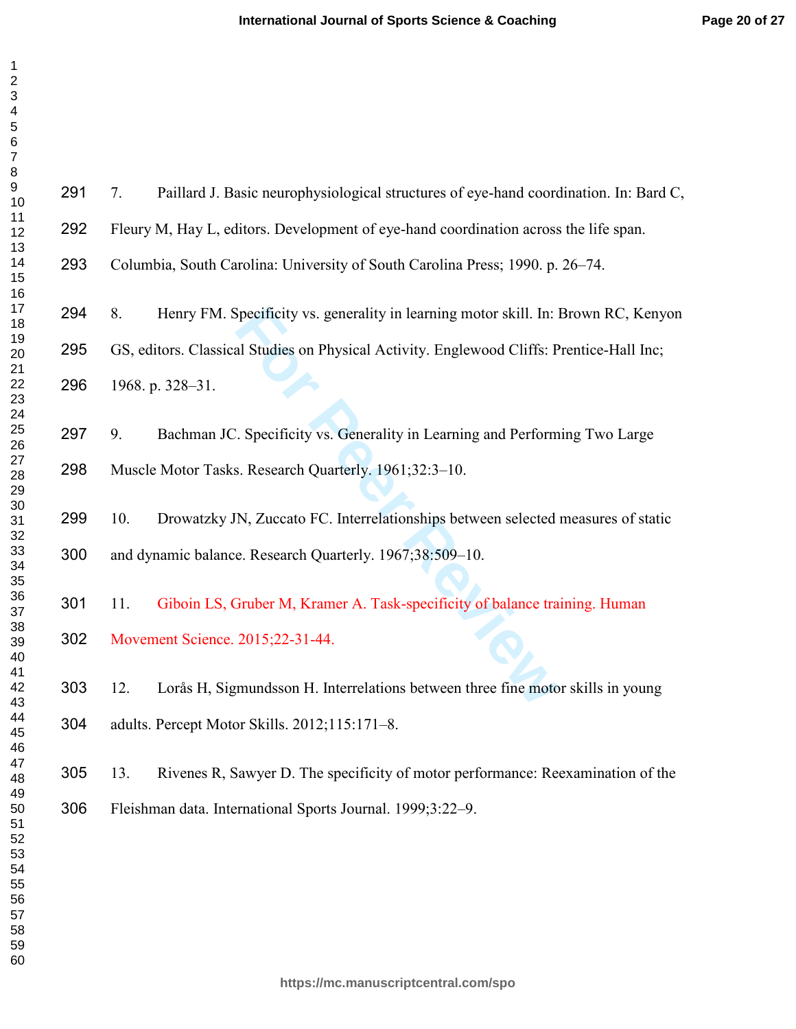| 291 | 7.  | Paillard J. Basic neurophysiological structures of eye-hand coordination. In: Bard C,     |
|-----|-----|-------------------------------------------------------------------------------------------|
| 292 |     | Fleury M, Hay L, editors. Development of eye-hand coordination across the life span.      |
| 293 |     | Columbia, South Carolina: University of South Carolina Press; 1990. p. 26-74.             |
| 294 | 8.  | Henry FM. Specificity vs. generality in learning motor skill. In: Brown RC, Kenyon        |
| 295 |     | GS, editors. Classical Studies on Physical Activity. Englewood Cliffs: Prentice-Hall Inc; |
| 296 |     | 1968. p. 328-31.                                                                          |
| 297 | 9.  | Bachman JC. Specificity vs. Generality in Learning and Performing Two Large               |
| 298 |     | Muscle Motor Tasks. Research Quarterly. 1961;32:3-10.                                     |
| 299 | 10. | Drowatzky JN, Zuccato FC. Interrelationships between selected measures of static          |
| 300 |     | and dynamic balance. Research Quarterly. 1967;38:509-10.                                  |
| 301 | 11. | Giboin LS, Gruber M, Kramer A. Task-specificity of balance training. Human                |
| 302 |     | Movement Science. 2015;22-31-44.                                                          |
| 303 | 12. | Lorås H, Sigmundsson H. Interrelations between three fine motor skills in young           |
| 304 |     | adults. Percept Motor Skills. 2012;115:171-8.                                             |
| 305 | 13. | Rivenes R, Sawyer D. The specificity of motor performance: Reexamination of the           |
| 306 |     | Fleishman data. International Sports Journal. 1999;3:22-9.                                |
|     |     |                                                                                           |
|     |     |                                                                                           |
|     |     |                                                                                           |

 $\mathbf{1}$  $\overline{2}$  $\overline{\mathbf{4}}$  $\overline{7}$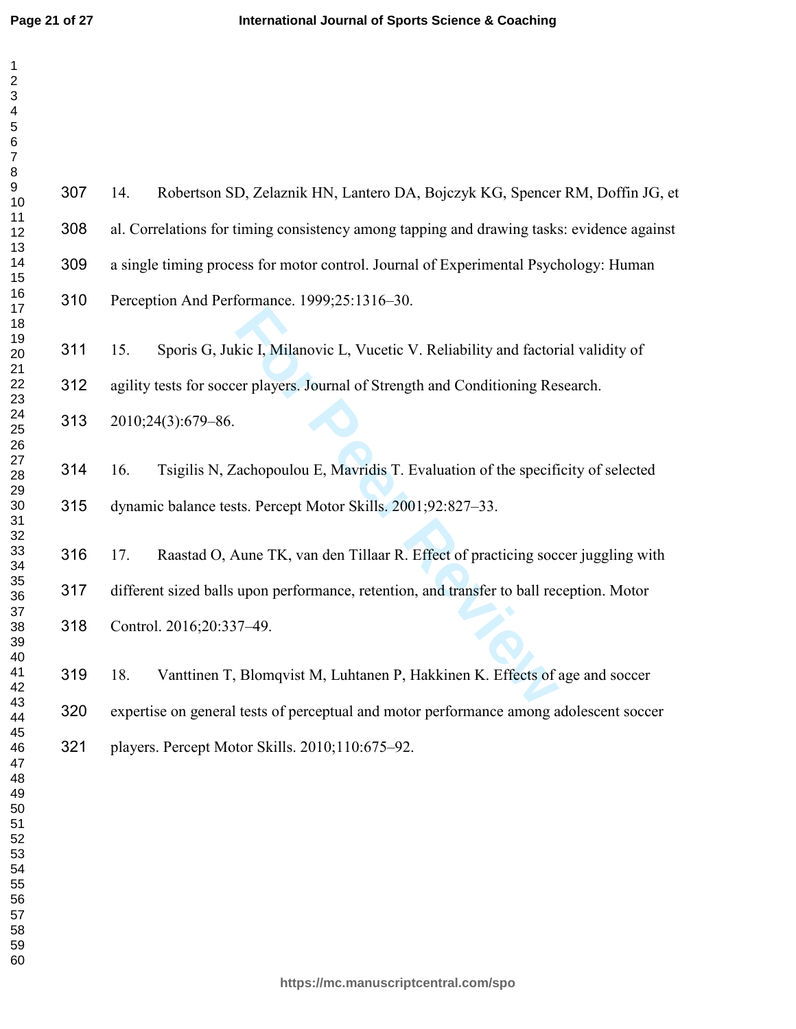$\mathbf 1$ 

14. Robertson SD, Zelaznik HN, Lantero DA, Bojczyk KG, Spencer RM, Doffin JG, et

**Formal Properties Control**<br> **For Players. Journal of Strength and Conditioning Res**<br> **For Players. Journal of Strength and Conditioning Res**<br> **For Players Algerity Advisions 1.4** Evaluation of the specificity<br> **For Player** al. Correlations for timing consistency among tapping and drawing tasks: evidence against a single timing process for motor control. Journal of Experimental Psychology: Human Perception And Performance. 1999;25:1316–30. 15. Sporis G, Jukic I, Milanovic L, Vucetic V. Reliability and factorial validity of agility tests for soccer players. Journal of Strength and Conditioning Research. 2010;24(3):679–86. 16. Tsigilis N, Zachopoulou E, Mavridis T. Evaluation of the specificity of selected dynamic balance tests. Percept Motor Skills. 2001;92:827–33. 17. Raastad O, Aune TK, van den Tillaar R. Effect of practicing soccer juggling with different sized balls upon performance, retention, and transfer to ball reception. Motor Control. 2016;20:337–49. 18. Vanttinen T, Blomqvist M, Luhtanen P, Hakkinen K. Effects of age and soccer

expertise on general tests of perceptual and motor performance among adolescent soccer

players. Percept Motor Skills. 2010;110:675–92.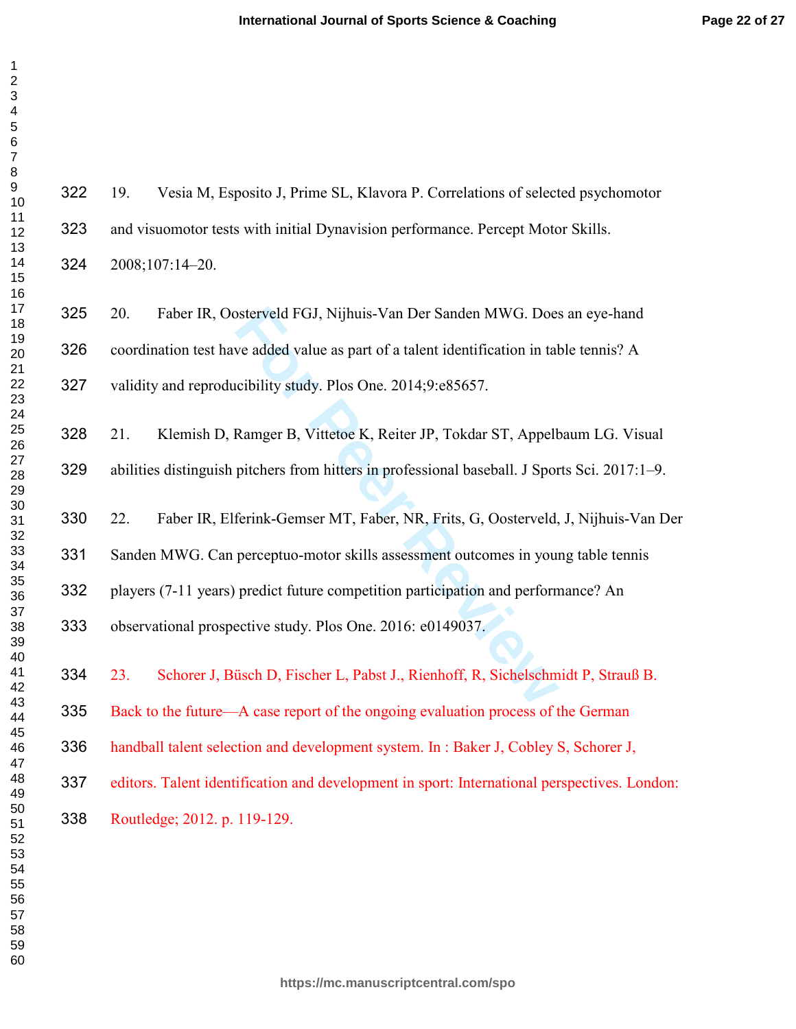| 1                                        |
|------------------------------------------|
| $\overline{c}$                           |
|                                          |
|                                          |
|                                          |
|                                          |
|                                          |
|                                          |
|                                          |
|                                          |
|                                          |
|                                          |
|                                          |
|                                          |
|                                          |
|                                          |
|                                          |
|                                          |
|                                          |
| ∠ 34567891111111111222222222233333333333 |
|                                          |
|                                          |
|                                          |
|                                          |
|                                          |
|                                          |
|                                          |
|                                          |
|                                          |
|                                          |
|                                          |
|                                          |
|                                          |
|                                          |
|                                          |
|                                          |
|                                          |
|                                          |
|                                          |
|                                          |
|                                          |
| 40                                       |
| 1                                        |
| $\ddot{4}$                               |
| $\overline{4}$<br>43<br>Š                |
|                                          |
| 44                                       |
| 45                                       |
| 46                                       |
| 47                                       |
| 48<br>$\mathbf{3}$                       |
| 49                                       |
| 50                                       |
| 51                                       |
| -<br>52<br>53<br>$\overline{ }$          |
| 3                                        |
| 54                                       |
| 55                                       |
| 56<br>ć                                  |
| 57                                       |
|                                          |
| 58                                       |
| 59                                       |
| 60                                       |

19. Vesia M, Esposito J, Prime SL, Klavora P. Correlations of selected psychomotor and visuomotor tests with initial Dynavision performance. Percept Motor Skills. 2008;107:14–20.

beterveld FGJ, Nijhuis-Van Der Sanden MWG. Does<br>
we added value as part of a talent identification in tal<br>
cibility study. Plos One. 2014;9:e85657.<br>
Ramger B, Vittetoe K, Reiter JP, Tokdar ST, Appell<br>
pitchers from hitters 20. Faber IR, Oosterveld FGJ, Nijhuis-Van Der Sanden MWG. Does an eye-hand coordination test have added value as part of a talent identification in table tennis? A validity and reproducibility study. Plos One. 2014;9:e85657.

21. Klemish D, Ramger B, Vittetoe K, Reiter JP, Tokdar ST, Appelbaum LG. Visual

abilities distinguish pitchers from hitters in professional baseball. J Sports Sci. 2017:1–9.

22. Faber IR, Elferink-Gemser MT, Faber, NR, Frits, G, Oosterveld, J, Nijhuis-Van Der

Sanden MWG. Can perceptuo-motor skills assessment outcomes in young table tennis

players (7-11 years) predict future competition participation and performance? An

observational prospective study. Plos One. 2016: e0149037.

23. Schorer J, Büsch D, Fischer L, Pabst J., Rienhoff, R, Sichelschmidt P, Strauß B.

Back to the future—A case report of the ongoing evaluation process of the German

handball talent selection and development system. In : Baker J, Cobley S, Schorer J,

editors. Talent identification and development in sport: International perspectives. London:

Routledge; 2012. p. 119-129.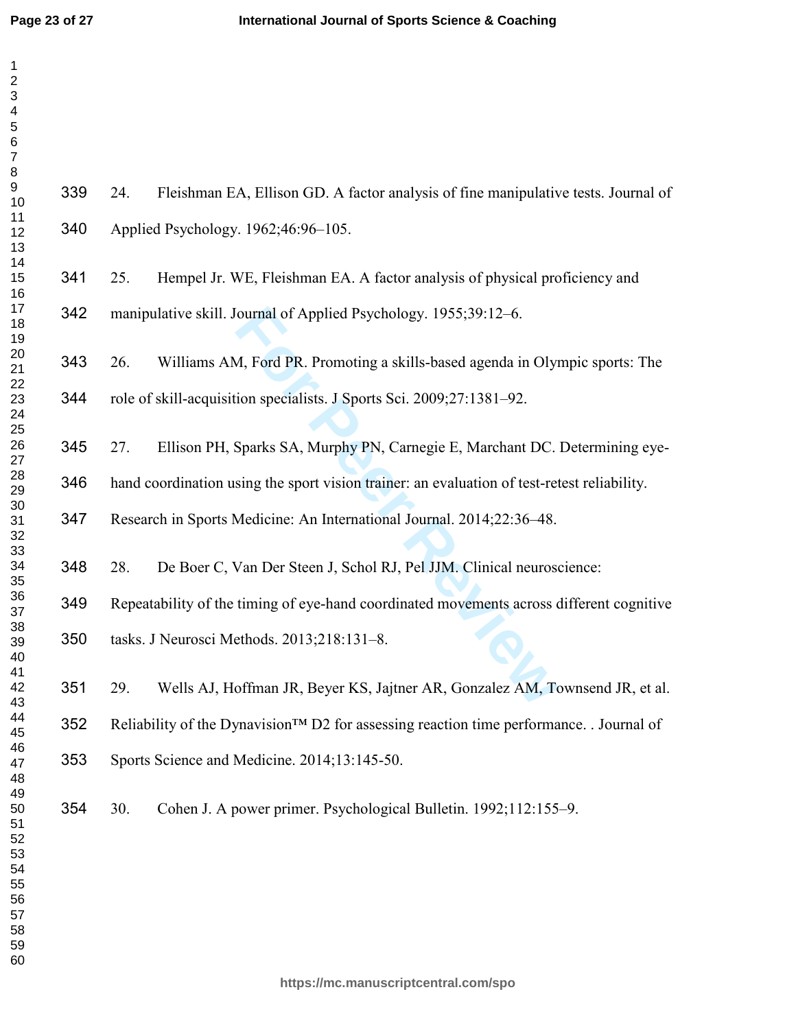| 1<br>$\overline{\mathbf{c}}$<br>3<br>4<br>5 |                                                                                             |
|---------------------------------------------|---------------------------------------------------------------------------------------------|
| 6<br>$\overline{7}$<br>$\bf 8$<br>9<br>339  | Fleishman EA, Ellison GD. A factor analysis of fine manipulative tests. Journal of<br>24.   |
| 10<br>11<br>340<br>12                       | Applied Psychology. 1962;46:96-105.                                                         |
| 341                                         | Hempel Jr. WE, Fleishman EA. A factor analysis of physical proficiency and<br>25.           |
| 342                                         | manipulative skill. Journal of Applied Psychology. 1955;39:12-6.                            |
| 343                                         | 26.<br>Williams AM, Ford PR. Promoting a skills-based agenda in Olympic sports: The         |
| 344                                         | role of skill-acquisition specialists. J Sports Sci. 2009;27:1381-92.                       |
| 345                                         | Ellison PH, Sparks SA, Murphy PN, Carnegie E, Marchant DC. Determining eye-<br>27.          |
| 346                                         | hand coordination using the sport vision trainer: an evaluation of test-retest reliability. |
| 347                                         | Research in Sports Medicine: An International Journal. 2014;22:36-48.                       |
| 348                                         | De Boer C, Van Der Steen J, Schol RJ, Pel JJM. Clinical neuroscience:<br>28.                |
| 349                                         | Repeatability of the timing of eye-hand coordinated movements across different cognitive    |
| 350                                         | tasks. J Neurosci Methods. 2013;218:131-8.                                                  |
| 351                                         | Wells AJ, Hoffman JR, Beyer KS, Jajtner AR, Gonzalez AM, Townsend JR, et al.<br>29.         |
| 352                                         | Reliability of the Dynavision™ D2 for assessing reaction time performance. . Journal of     |
| 353                                         | Sports Science and Medicine. 2014;13:145-50.                                                |
| 354                                         | Cohen J. A power primer. Psychological Bulletin. 1992;112:155–9.<br>30.                     |
|                                             |                                                                                             |
|                                             | https://mc.manuscriptcentral.com/spo                                                        |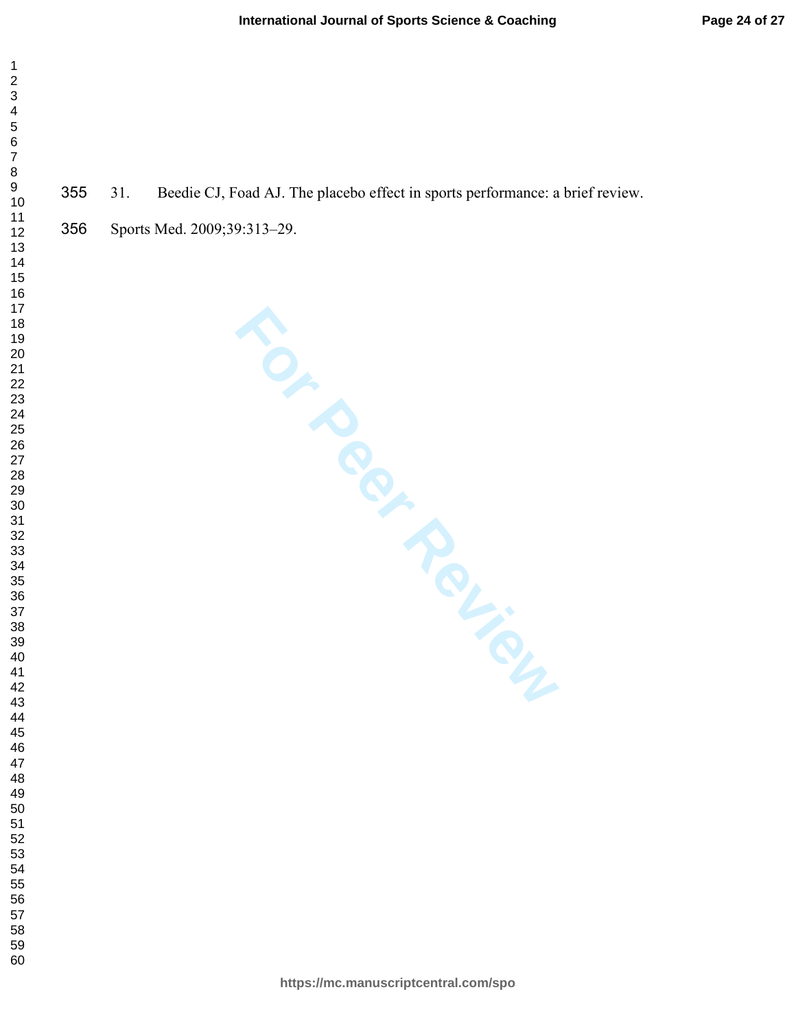31. Beedie CJ, Foad AJ. The placebo effect in sports performance: a brief review.

Sports Med. 2009;39:313–29.

 $\mathbf{1}$  $\overline{2}$  $\overline{\mathbf{4}}$  $\overline{7}$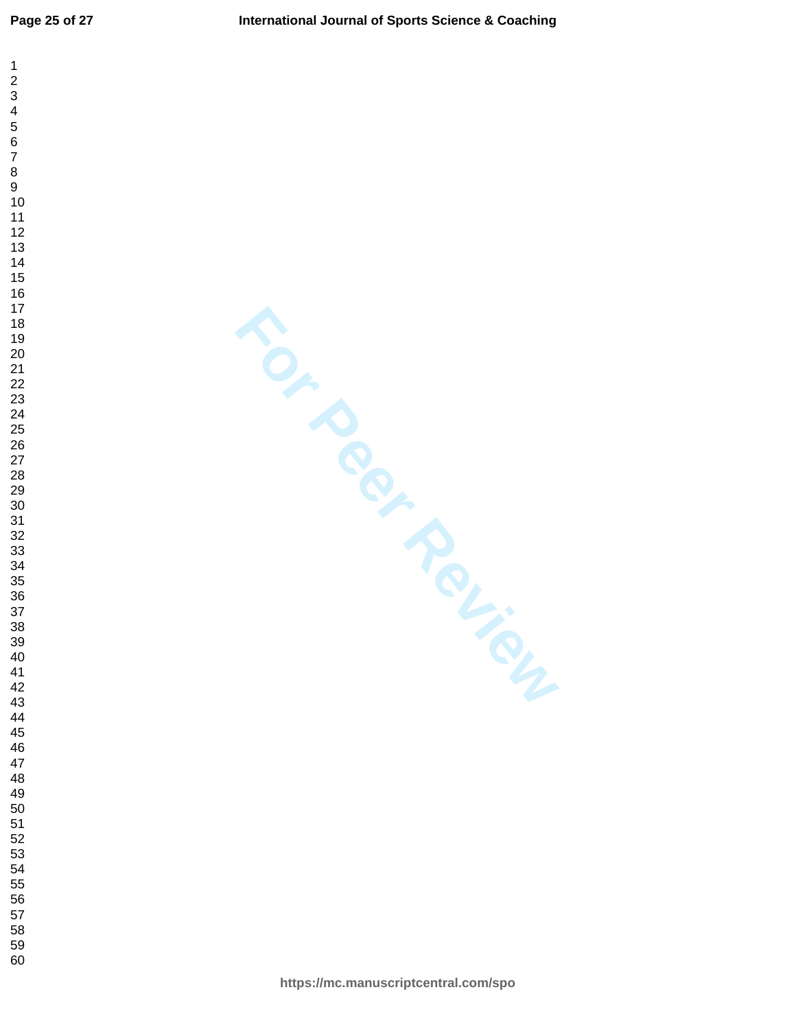$\mathbf{1}$  $\overline{2}$  $\overline{\mathbf{4}}$  $\overline{7}$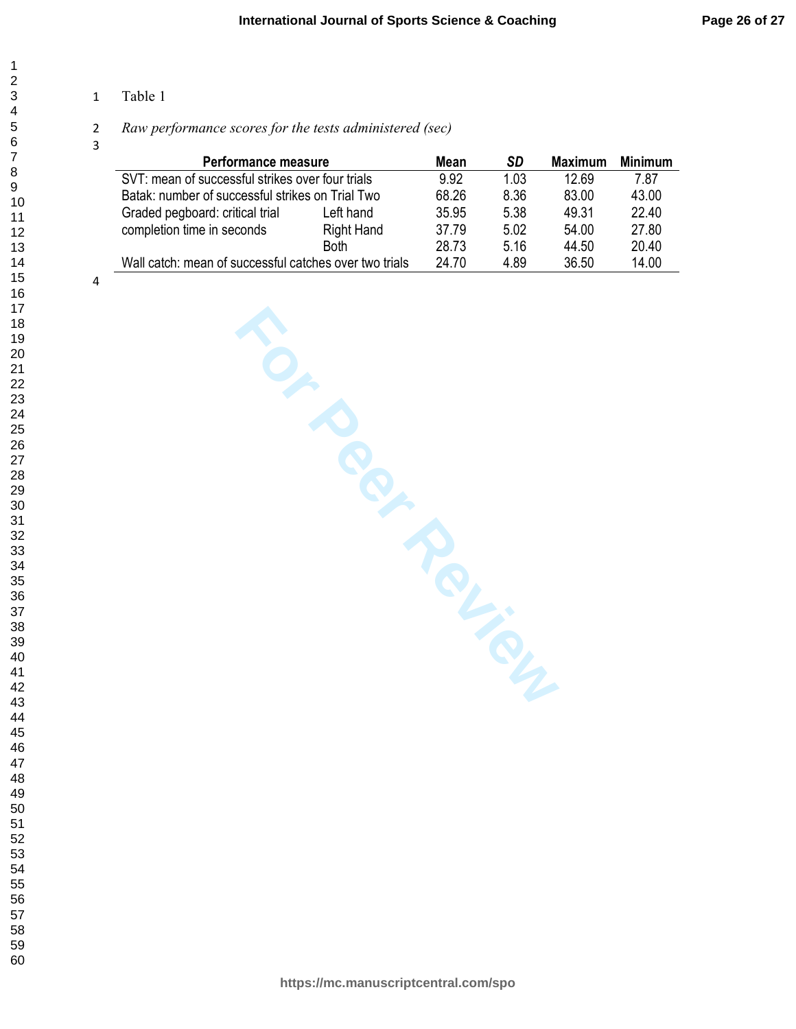- Table 1
- *Raw performance scores for the tests administered (sec)*

| Performance measure                                    |                   | Mean  | SD    | <b>Maximum</b> | <b>Minimum</b> |
|--------------------------------------------------------|-------------------|-------|-------|----------------|----------------|
| SVT: mean of successful strikes over four trials       | 9.92              | 1.03  | 12.69 | 7.87           |                |
| Batak: number of successful strikes on Trial Two       | 68.26             | 8.36  | 83.00 | 43.00          |                |
| Graded pegboard: critical trial                        | Left hand         | 35.95 | 5.38  | 49.31          | 22.40          |
| completion time in seconds                             | <b>Right Hand</b> | 37.79 | 5.02  | 54.00          | 27.80          |
|                                                        | <b>Both</b>       | 28.73 | 5.16  | 44.50          | 20.40          |
| Wall catch: mean of successful catches over two trials |                   | 24.70 | 4.89  | 36.50          | 14.00          |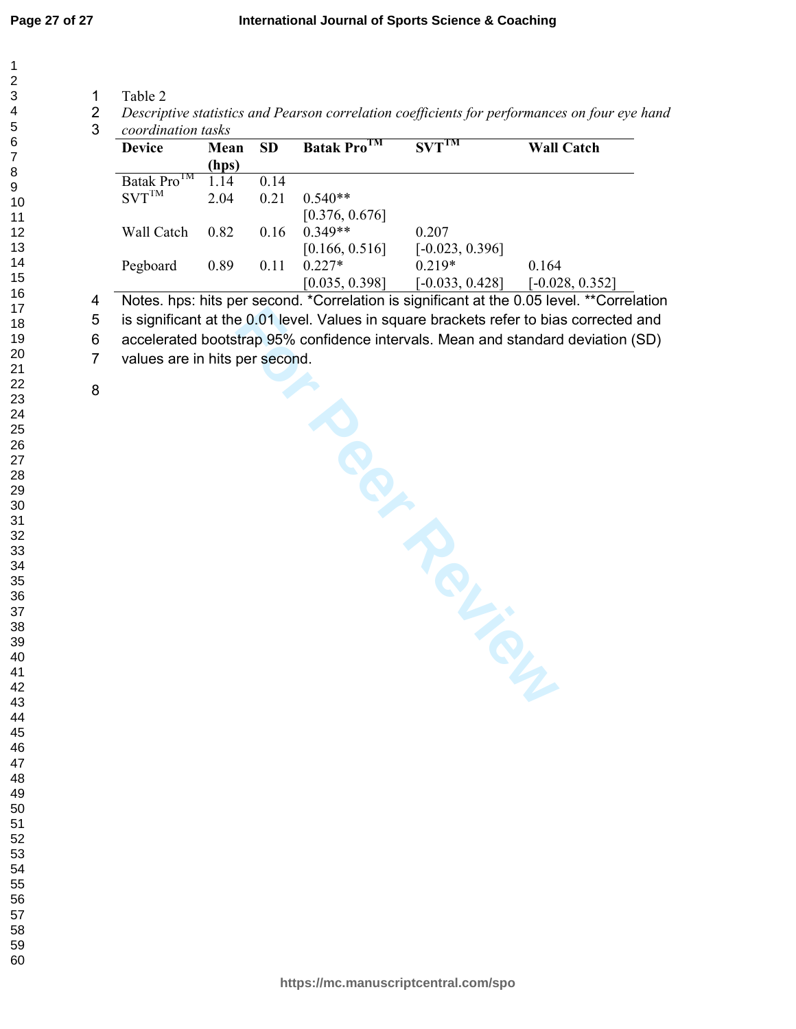$\mathbf{1}$  $\overline{2}$ 

- Table 2
	- *Descriptive statistics and Pearson correlation coefficients for performances on four eye hand*
	- *coordination tasks*

| <b>Device</b>               | Mean  | <b>SD</b> | Batak Pro <sup>TM</sup> | $SVT^{TM}$        | <b>Wall Catch</b> |
|-----------------------------|-------|-----------|-------------------------|-------------------|-------------------|
|                             | (hps) |           |                         |                   |                   |
| Batak $\overline{Pro^{TM}}$ | 1.14  | 0.14      |                         |                   |                   |
| $SVT^{TM}$                  | 2.04  | 0.21      | $0.540**$               |                   |                   |
|                             |       |           | [0.376, 0.676]          |                   |                   |
| Wall Catch                  | 0.82  | 0.16      | $0.349**$               | 0.207             |                   |
|                             |       |           | [0.166, 0.516]          | $[-0.023, 0.396]$ |                   |
| Pegboard                    | 0.89  | 0.11      | $0.227*$                | $0.219*$          | 0.164             |
|                             |       |           | [0.035, 0.398]          | $[-0.033, 0.428]$ | $[-0.028, 0.352]$ |

4 Notes. hps: hits per second. \*Correlation is significant at the 0.05 level. \*\*Correlation

New Processions. 5 is significant at the 0.01 level. Values in square brackets refer to bias corrected and

6 accelerated bootstrap 95% confidence intervals. Mean and standard deviation (SD)

7 values are in hits per second.